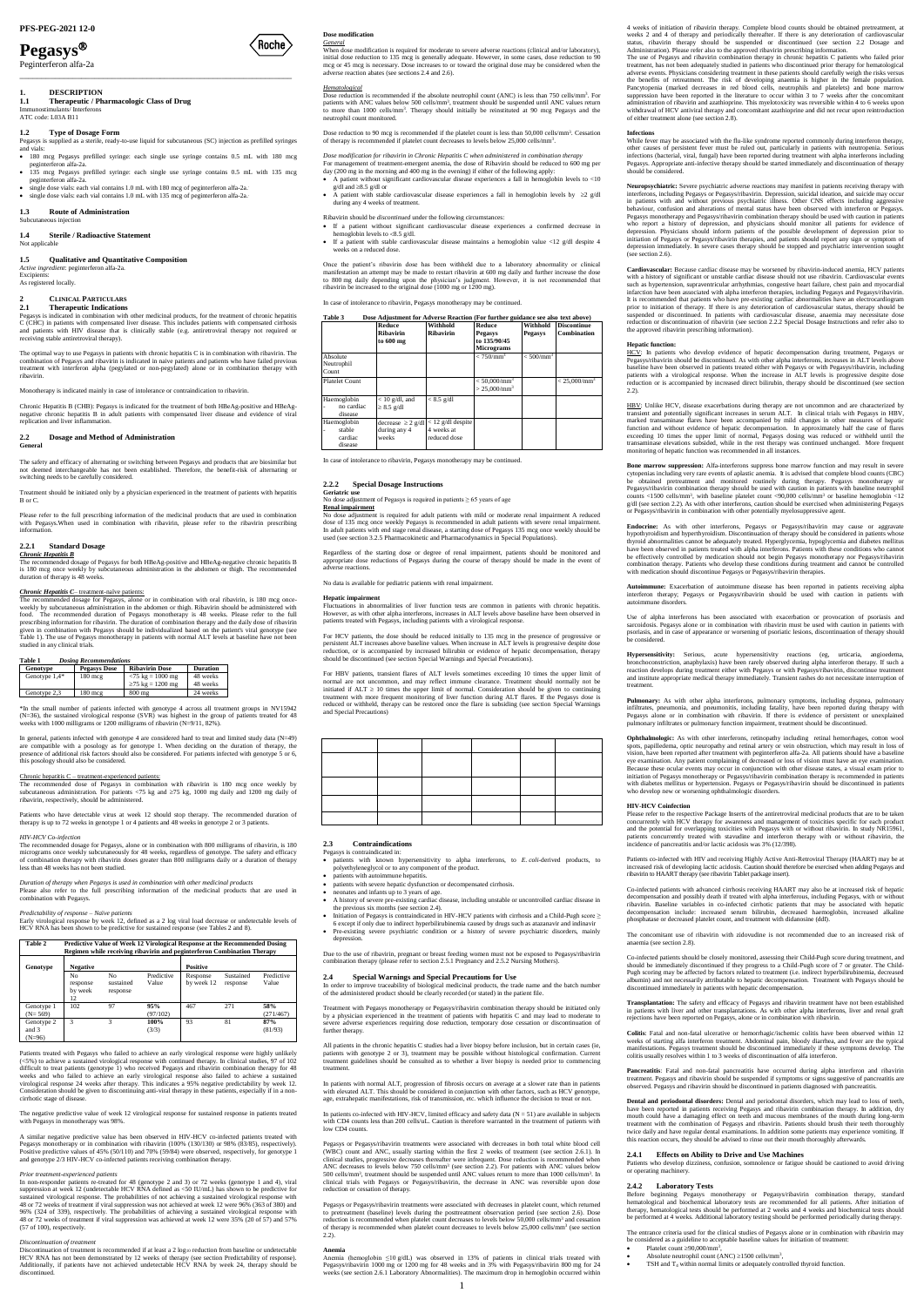# **Pegasys**

Peginterferon alfa-2a

# 1. **DESCRIPTION**<br>1.1 **Therapeutic** / Ph

\_\_\_\_\_\_\_\_\_\_\_\_\_\_\_\_\_\_\_\_\_\_\_\_\_\_\_\_\_\_\_\_\_\_\_\_\_\_\_\_\_\_\_\_\_\_\_\_\_\_\_\_\_\_\_\_\_\_\_\_\_\_

**1.1 Therapeutic / Pharmacologic Class of Drug** Immunostimulants/ Interferons ATC code: L03A B11

#### **1.2 Type of Dosage Form**

Pegasys is supplied as a sterile, ready-to-use liquid for subcutaneous (SC) injection as prefilled syringes and vials:

- 180 mcg Pegasys prefilled syringe: each single use syringe contains 0.5 mL with 180 mcg peginterferon alfa-2a peginterferon alfa-2a. 135 mcg Pegasys prefilled syringe: each single use syringe contains 0.5 mL with 135 mcg
- peginterferon alfa-2a. single dose vials: each vial contains 1.0 mL with 180 mcg of peginterferon alfa-2a..
- single dose vials: each vial contains 1.0 mL with 135 mcg of peginterferon alfa-2a..

#### **1.3 Route of Administration** Subcutaneous inject

*Active ingredient*: peginterferon alfa-2a. Excipients:

# **1.4 Sterile / Radioactive Statement**

**Not** applicable

# **1.5 Qualitative and Quantitative Composition**

As registered locally.

#### **2 CLINICAL PARTICULARS 2.1 Therapeutic Indications**

Pegasys is indicated in combination with other medicinal products, for the treatment of chronic hepatitis C (CHC) in patients with compensated liver disease. This includes patients with compensated cirrhosis and patients with HIV disease that is clinically stable (e.g. antiretroviral therapy not required or receiving stable antiretroviral therapy).

The recommended dosage for Pegasys, alone or in combination with oral ribavirin, is 180 mcg onceweekly by subcutaneous administration in the abdomen or thigh. Ribavirin should be administered with food. The recommended duration of Pegasys monotherapy is 48 weeks. Please refer to the full food. The recommended duration of Pegasys monotherapy is 48 weeks. Please refer to the full prescribing information for ribavirin. The duration of combination therapy and the daily dose of ribavirin given in combination with Pegasys should be individualized based on the patient's viral genotype (see Table 1). The use of Pegasys monotherapy in patients with normal ALT levels at baseline have not been studied in any clinical tria

The optimal way to use Pegasys in patients with chronic hepatitis C is in combination with ribavirin. The combination of Pegasys and ribavirin is indicated in naive patients and patients who have failed previous treatment with interferon alpha (pegylated or non-pegylated) alone or in combination therapy with ribavirin.

Monotherapy is indicated mainly in case of intolerance or contraindication to ribavirin.

Chronic Hepatitis B (CHB): Pegasys is indicated for the treatment of both HBeAg-positive and HBeAg-<br>negative chronic hepatitis B in adult patients with compensated liver disease and evidence of viral<br>replication and liver

In general, patients infected with genotype 4 are considered hard to treat and limited study data (N=49) are compatible with a posology as for genotype 1. When deciding on the duration of therapy, the presence of additional risk factors should also be considered. For patients infected with genotype 5 or 6, this posology shoul

#### **2.2 Dosage and Method of Administration General**

The safety and efficacy of alternating or switching between Pegasys and products that are biosimilar but<br>not deemed interchangeable has not been established. Therefore, the benefit-risk of alternating or<br>switching needs to

Treatment should be initiated only by a physician experienced in the treatment of patients with hepatitis B or C.

Please refer to the full prescribing information of the medicinal products that are used in combination with Pegasys. When used in combination with ribavirin, please refer to the ribavirin prescribing information.

# **2.2.1 Standard Dosage**

*Chronic Hepatitis B* The recommended dosage of Pegasys for both HBeAg-positive and HBeAg-negative chronic hepatitis B is 180 mcg once weekly by subcutaneous administration in the abdomen or thigh. The recommended duration of therapy is 48 weeks.

# *Chronic Hepatitis C*– treatment-naïve patients:

Patients treated with Pegasys who failed to achieve an early virological response were highly unlikely (<5%) to achieve a sustained virological response with continued therapy. In clinical studies, 97 of 102 difficult to treat patients (genotype 1) who received Pegasys and ribavirin combination therapy for 48 weeks and who Consideration should be given to discontinuing anti-viral therapy in these patients, especially if in a noncirrhotic stage of disea

#### **Table 1** *Dosing Recommendations*

| Genotype        | <b>Pegasys Dose</b> | <b>Ribavirin Dose</b>                     | <b>Duration</b> |
|-----------------|---------------------|-------------------------------------------|-----------------|
| Genotype $1.4*$ | $180 \text{ mcg}$   | $\langle 75 \text{ kg} = 1000 \text{ mg}$ | 48 weeks        |
|                 |                     | ≥75 kg = 1200 mg                          | 48 weeks        |
| Genotype 2,3    | $180$ mcg           | $800$ mg                                  | 24 weeks        |

\*In the small number of patients infected with genotype 4 across all treatment groups in NV15942 (N=36), the sustained virological response (SVR) was highest in the group of patients treated for 48 weeks with 1000 milligrams or 1200 milligrams of ribavirin (N=9/11, 82%).

inuation of treatment is recommended if at least a 2  $\log_{10}$  reduction from baseline or undetectable HCV RNA has not been demonstrated by 12 weeks of therapy (see section Predictability of response). Additionally, if patients have not achieved undetectable HCV RNA by week 24, therapy should be discontinued.

### Chronic hepatitis C – treatment-experienced patients:

Dose reduction is recommended if the absolute neutrophil count (ANC) is less than 750 cells/mm<sup>3</sup>. For patients with ANC values below 500 cells/mm<sup>3</sup>, treatment should be suspended until ANC values return to more than 1000 cells/mm<sup>3</sup> . Therapy should initially be reinstituted at 90 mcg Pegasys and the neutrophil count monitored.

The recommended dose of Pegasys in combination with ribavirin is 180 mcg once weekly by subcutaneous administration. For patients <75 kg and  $\geq$ 75 kg, 1000 mg daily and 1200 mg daily of ribavirin, respectively, should be administered.

Dose reduction to 90 mcg is recommended if the platelet count is less than 50,000 cells/mm<sup>3</sup>. Cessation of therapy is recommended if platelet count decreases to levels below 25,000 cells/mm<sup>3</sup> .

- A patient without significant cardiovascular disease experiences a fall in hemoglobin levels to <10  $g/dl$  and  $\geq 8.5$  g/dl or
- A patient with stable cardiovascular disease experiences a fall in hemoglobin levels by  $\geq 2$  g/dl during any 4 weeks of treatment.

Patients who have detectable virus at week 12 should stop therapy. The recommended duration of therapy is up to 72 weeks in genotype 1 or 4 patients and 48 weeks in genotype 2 or 3 patients.

#### *HIV-HCV Co-infection*

- If a patient without significant cardiovascular disease experiences a confirmed decrease in hemoglobin levels to 8.5 g/dl.
- $\bullet$  If a patient with stable cardiovascular disease maintains a hemoglobin value <12 g/dl despite 4 on a reduced dose.

Once the patient's ribavirin dose has been withheld due to a laboratory abnormality or clinical manifestation an attempt may be made to restart ribavirin at 600 mg daily and further increase the dose<br>to 800 mg daily depending upon the physician's judgment. However, it is not recommended that<br>ribavirin be increased to

The recommended dosage for Pegasys, alone or in combination with 800 milligrams of ribavirin, is 180 micrograms once weekly subcutaneously for 48 weeks, regardless of genotype. The safety and efficacy of combination therapy with ribavirin doses greater than 800 milligrams daily or a duration of therapy less than 48 weeks has not been studied.

*Duration of therapy when Pegasys is used in combination with other medicinal products*

Please also refer to the full prescribing information of the medicinal products that are used in combination with Pegasys.

*Predictability of response – Naïve patients*

Early virological response by week 12, defined as a 2 log viral load decrease or undetectable levels of HCV RNA has been shown to be predictive for sustained response (see Tables 2 and 8).

 $\overline{\text{A}}$  is required for adult patients with mild or moderate renal impairment A reduced dose of 135 mcg once weekly Pegasys is recommended in adult patients with severe renal impairment. In adult patients with end stage renal disease, a starting dose of Pegasys 135 mcg once weekly should be used (see section 3.2.5 Pharmacokinetic and Pharmacodynamics in Special Populations).

| Table 2                         |                                 |                             |                     | Predictive Value of Week 12 Virological Response at the Recommended Dosing<br>Regimen while receiving ribavirin and peginterferon Combination Therapy |                       |                     |
|---------------------------------|---------------------------------|-----------------------------|---------------------|-------------------------------------------------------------------------------------------------------------------------------------------------------|-----------------------|---------------------|
| Genotype                        | <b>Negative</b>                 |                             |                     | <b>Positive</b>                                                                                                                                       |                       |                     |
|                                 | No<br>response<br>by week<br>12 | No<br>sustained<br>response | Predictive<br>Value | Response<br>by week 12                                                                                                                                | Sustained<br>response | Predictive<br>Value |
| Genotype 1<br>$(N = 569)$       | 102                             | 97                          | 95%<br>(97/102)     | 467                                                                                                                                                   | 271                   | 58%<br>(271/467)    |
| Genotype 2<br>and 3<br>$(N=96)$ | 3                               | 3                           | 100%<br>(3/3)       | 93                                                                                                                                                    | 81                    | 87%<br>(81/93)      |

 patients with known hypersensitivity to alpha interferons, to *E. coli*-derived products, to polyethyleneglycol or to any component of the produ

- patients with autoimmune hepatitis.
- patients with severe hepatic dysfunction or decompensated cirrhosis.
- neonates and infants up to 3 years of age.
- A history of severe pre-existing cardiac disease, including unstable or uncontrolled cardiac disease in the previous six months (see section 2.4).
- Initiation of Pegasys is contraindicated in HIV-HCV patients with cirrhosis and a Child-Pugh score ≥
- 6 except if only due to indirect hyperbilirubinemia caused by drugs such as atazanavir and indinavir Pre-existing severe psychiatric condition or a history of severe psychiatric disorders, mainly depression

The negative predictive value of week 12 virological response for sustained response in patients treated with Pegasys in monotherapy was 98%.

A similar negative predictive value has been observed in HIV-HCV co-infected patients treated with Pegasys monotherapy or in combination with ribavirin (100% (130/130) or 98% (83/85), respectively). Positive predictive values of 45% (50/110) and 70% (59/84) were observed, respectively, for genotype 1 and genotype 2/3 HIV-HCV co-infected patients receiving combination therapy.

#### *Prior treatment-experienced patients*

Treatment with Pegasys monotherapy or Pegasys/ribavirin combination therapy should be initiated only<br>by a physician experienced in the treatment of patients with hepatitis C and may lead to moderate to<br>severe adverse exper further therapy.

In non-responder patients re-treated for 48 (genotype 2 and 3) or 72 weeks (genotype 1 and 4), viral suppression at week 12 (undetectable HCV RNA defined as <50 IU/mL) has shown to be predictive for sustain at week 12 (and the contract and the virtual response with independent of the probabilities of not achieving a sustained virological response with 48 or 72 weeks of treatment if viral suppression was not achieved at week 12 were 96% (363 of 380) and 96% (324 of 339), respectively. The probabilities of achieving a sustained virological response with 48 or 72 weeks of treatment if viral suppression was achieved at week 12 were 35% (20 of 57) and 57% (57 of 100), respectively.

#### *Discontinuation of treatment*

In patients co-infected with HIV-HCV, limited efficacy and safety data  $(N - 51)$  are available in subjects with CD4 counts less than 200 cells/uL. Caution is therefore warranted in the treatment of patients with low CD4 counts.

#### **Dose modification** *General*

When dose modification is required for moderate to severe adverse reactions (clinical and/or laboratory), initial dose reduction to 135 mcg is generally adequate. However, in some cases, dose reduction to 90 mcg or 45 mcg is necessary. Dose increases to or toward the original dose may be considered when the adverse reaction abates (see sections 2.4 and 2.6).

#### *Hematological*

[Roche]

The use of Pegasys and ribavirin combination therapy in chronic hepatitis C patients who failed prior treatment, has not been adequately studied in patients who discontinued prior daterse events. Physicians considering tre Pancytopenia (marked decreases in red blood cells, neutrophils and platelets) and bone marrow<br>suppression have been reported in the literature to occur within 3 to 7 weeks after the concomitant<br>administration of ribavirin withdrawal of HCV antiviral therapy and concomitant azathioprine and did not recur upon reintrodu of either treatment alone (see section 2.8).

*Dose modification for ribavirin in Chronic Hepatitis C when administered in combination therapy* For management of treatment-emergent anemia, the dose of Ribavirin should be reduced to 600 mg per day (200 mg in the morning and 400 mg in the evening) if either of the following apply:

Ribavirin should be *discontinued* under the following circumstances:

In case of intolerance to ribavirin, Pegasys monotherapy may be continued.

| Table 3                                     | Dose Adjustment for Adverse Reaction (For further guidance see also text above) |                                                   |                                                               |                            |                                          |
|---------------------------------------------|---------------------------------------------------------------------------------|---------------------------------------------------|---------------------------------------------------------------|----------------------------|------------------------------------------|
|                                             | Reduce<br>Ribavirin<br>to 600 mg                                                | Withhold<br><b>Ribavirin</b>                      | Reduce<br><b>Pegasys</b><br>to 135/90/45<br><b>Micrograms</b> | Withhold<br><b>Pegasys</b> | <b>Discontinue</b><br><b>Combination</b> |
| Absolute<br>Neutrophil<br>Count             |                                                                                 |                                                   | $< 750 / \text{mm}^3$                                         | $< 500 / \text{mm}^3$      |                                          |
| <b>Platelet Count</b>                       |                                                                                 |                                                   | $< 50,000/\text{mm}^3$<br>$> 25,000/mm^3$                     |                            | $< 25.000/\text{mm}^3$                   |
| Haemoglobin<br>no cardiac<br>disease        | $<$ 10 g/dl, and<br>$\geq 8.5$ g/dl                                             | $< 8.5$ g/dl                                      |                                                               |                            |                                          |
| Haemoglobin<br>stable<br>cardiac<br>disease | decrease $\geq$ 2 g/dl<br>during any 4<br>weeks                                 | $< 12$ g/dl despite<br>4 weeks at<br>reduced dose |                                                               |                            |                                          |

In case of intolerance to ribavirin, Pegasys monotherapy may be continued.

# **2.2.2 Special Dosage Instructions**

**Geriatric use** No dose adjustment of Pegasys is required in patients ≥ 65 years of age

**Renal impairment**

Regardless of the starting dose or degree of renal impairment, patients should be monitored and appropriate dose reductions of Pegasys during the course of therapy should be made in the event of adverse reactions.

No data is available for pediatric patients with renal impairment.

# **Hepatic impairment**

Fluctuations in abnormalities of liver function tests are common in patients with chronic hepatitis. However, as with other alpha interferons, increases in ALT levels above baseline have been observed in patients treated with Pegasys, including patients with a virological response.

> Pulmonary: As with other alpha interferons, pulmonary symptoms, including dyspnea, pulmonary infiltrates, pneumonia, and pneumonitis, including fatality, have been reported during therapy with Pegasys alone or in combination with ribavirin. If there is evidence of persistent or unexplained pulmonary infiltrates or pulmonary function impairment, treatment should be discontinued.

For HCV patients, the dose should be reduced initially to 135 mcg in the presence of progressive or persistent ALT increases above baseline values. When increase in ALT levels is progressive despite dose<br>reduction, or is accompanied by increased bilirubin or evidence of hepatic decompensation, therapy reduction, or is accompanied by increased bilirubin or evidence of hepatic decompensation, should be discontinued (see section Special Warnings and Special Precautions).

For HBV patients, transient flares of ALT levels sometimes exceeding 10 times the upper limit of normal are not uncommon, and may reflect immune clearance. Treatment should normally not be initiated if ALT ≥ 10 times the upper limit of normal. Consideration should be given to continuing<br>treatment with more frequent monitoring of liver function during ALT flares. If the Pegasys dose is<br>reduced or withheld, t and Special Precautions)

#### **2.3 Contraindications** Pegasys is contraindicated in:

Co-infected patients should be closely monitored, assessing their Child-Pugh score during treat should be immediately discontinued if they progress to a Child-Pugh score of 7 or greater. The Child-Pugh scoring may be affected by factors related to treatment (i.e. indirect hyperbilirubinemia, decreased albumin) and not necessarily attributable to hepatic decompensation. Treatment with Pegasys should be

**Dental and periodontal disorders:** Dental and periodontal disorders, which may lead to loss of teeth, have been reported in patients receiving Pegasys and ribavirin combination therapy. In addition, dry mouth could have a damaging effect on teeth and mucous membranes of the mouth during long-term treatment with the combination of Pegasys and ribavirin. Patients should brush their teeth thoroughly<br>twice daily and have regular dental examinations. In addition some patients may experience vomiting. If<br>this reaction oc

Due to the use of ribavirin, pregnant or breast feeding women must not be exposed to Pegasys/ribavirin combination therapy (please refer to section 2.5.1 Pregnancy and 2.5.2 Nursing Mothers).

# **2.4 Special Warnings and Special Precautions for Use**

Patients who develop dizziness, confusion, somnolence or fatigue should be cautioned to avoid driving or operating machinery.

In order to improve traceability of biological medicinal products, the trade name and the batch number of the administered product should be clearly recorded (or stated) in the patient file.

- Platelet count >90,000/mm<sup>3</sup>
- Platelet count  $\geq 90,000/\text{mm}^3$ ,<br>
Absolute neutrophil count (ANC)  $\geq 1500$  cells/mm<sup>3</sup>.
- TSH and T<sup>4</sup> within normal limits or adequately controlled thyroid function.

All patients in the chronic hepatitis C studies had a liver biopsy before inclusion, but in certain cases (ie, patients with genotype 2 or 3), treatment may be possible without histological confirmation. Current treatment guidelines should be consulted as to whether a liver biopsy is needed prior to commencing treatment.

In patients with normal ALT, progression of fibrosis occurs on average at a slower rate than in patients<br>with elevated ALT. This should be considered in conjunction with other factors, such as HCV genotype,<br>age, extrahepat

Pegasys or Pegasys/ribavirin treatments were associated with decreases in both total white blood cell (WBC) count and ANC, usually starting within the first 2 weeks of treatment (see section 2.6.1). In clinical studies, progressive decreases thereafter were infrequent. Dose reduction is recommended when ANC decreases to levels below 750 cells/mm<sup>3</sup> (see section 2.2). For patients with ANC values below<br>500 cells/mm<sup>3</sup>, treatment should be suspended until ANC values return to more than 1000 cells/mm<sup>3</sup>. In<br>clinical trials reduction or cessation of therapy.

Pegasys or Pegasys/ribavirin treatments were associated with decreases in platelet count, which returned to pretreatment (baseline) levels during the posttreatment observation period (see section 2.6). Dose<br>reduction is recommended when platelet count decreases to levels below 50,000 cells/mm<sup>3</sup> and cessation<br>of therapy is re 2.2).

**Anemia**  Anemia (hemoglobin ≤10 g/dL) was observed in 13% of patients in clinical trials treated with Pegasys/ribavirin 1000 mg or 1200 mg for 48 weeks and in 3% with Pegasys/ribavirin 800 mg for 24 weeks (see section 2.6.1 Laboratory Abnormalities). The maximum drop in hemoglobin occurred within 4 weeks of initiation of ribavirin therapy. Complete blood counts should be obtained pretreatment, at weeks 2 and 4 of therapy and periodically thereafter. If there is any deterioration of cardiovascular status, ribavirin therapy should be suspended or discontinued (see section 2.2 Dosage and Administration). Please refer also to the approved ribavirin prescribing information.

#### **Infections**

While fever may be associated with the flu-like syndrome reported commonly during interferon therapy, other causes of persistent fever must be ruled out, particularly in patients with neutropenia. Serious infections (bacterial, viral, fungal) have been reported during treatment with alpha interferons including Pegasys. Appropriate anti-infective therapy should be started immediately and discontinuation of therapy should be considered.

**Neuropsychiatric:** Severe psychiatric adverse reactions may manifest in patients receiving therapy with interferons, including Pegasys or Pegasys/ribavirin. Depression, suicidal ideation, and suicide may occur in patients with and without previous psychiatric illness. Other CNS effects including aggressive behaviour, confusion and alterations of mental status have been observed with interferon or Pegasys. Person and Pegasys/ribavirin combination therapy should be used with caution in patients are a state of the state of the state of the state of the state of the state of the state of the state of the state of the state of t who report a history of depression, and physicians should monitor all patients for evidence of depression. Physicians should inform patients of the possible development of depression prior to initiation of Pegasys or Pegasys/ribavirin therapies, and patients should report any sign or symptom of depression immediately. In severe cases therapy should be stopped and psychiatric intervention sought (see section 2.6).

**Cardiovascular:** Because cardiac disease may be worsened by ribavirin-induced anemia, HCV patients with a history of significant or unstable cardiac disease should not use ribavirin. Cardiovascular events such as hypertension, supraventricular arrhythmias, congestive heart failure, chest pain and myocardial<br>infarction have been associated with alpha interferon therapies, including Pegasys and Pegasys/ribavirin.<br>It is recomm prior to initiation of therapy. If there is any deterioration of cardiovascular status, therapy should be suspended or discontinued. In patients with cardiovascular disease, anaemia may necessitate dose sus to minimize a matter of matter to may acceleration at cheate microme situati, matter reduction or discontinuation of ribavirin (see section 2.2.2 Special Dosage Instructions and refer also to the approved ribavirin prescribing information).

# **Hepatic function:**

HCV: In patients who develop evidence of hepatic decompensation during treatment, Pegasys or Pegasys/ribavirin should be discontinued. As with other alpha interferons, increases in ALT levels above baseline have been observed in patients treated either with Pegasys or with Pegasys/ribavirin, including<br>patients with a virological response. When the increase in ALT levels is progressive despite dose<br>reduction or is acc  $2.2<sub>1</sub>$ 

HBV: Unlike HCV, disease exacerbations during therapy are not uncommon and are characterized by transient and potentially significant increases in serum ALT. In clinical trials with Pegasys in HBV,<br>marked transaminase flares have been accompanied by mild changes in other measures of hepatic<br>function and without evide exceeding 10 times the upper limit of normal, Pegasys dosing was reduced or withheld until the transaminase elevations subsided, while in the rest therapy was continued unchanged. More frequent monitoring of hepatic functi

**Bone marrow suppression:** Alfa-interferons suppress bone marrow function and may result in severe cytopenias including very rare events of aplastic anemia. It is advised that complete blood counts (CBC) be obtained pretreatment and monitored routinely during therapy. Pegasys monotherapy or Pegasys/ribavirin combination therapy should be used with caution in patients with baseline neutrophil<br>counts <1500 cells/mm<sup>3</sup>, with baseline platelet count <90,000 cells/mm<sup>3</sup> or baseline hemoglobin <12<br>g/dl (see section or Pegasys/ribavirin in combination with other potentially myelosuppressive agent.

Endocrine: As with other interferons, Pegasys or Pegasys/ribavirin may cause or aggravate hypothyroidism and hyperthyroidism. Discontinuation of therapy should be considered in patients whose<br>thyroid abnormalities cannot be adequately treated. Hyperglycemia, hypoglycemia and diabetes mellitus<br>have been observed be effectively controlled by medication should not begin Pegasys monotherapy nor Pegasys/ribavirin combination therapy. Patients who develop these conditions during treatment and cannot be controlled combination therapy. Patients who develop these conditions during treatment and cannot be controlled with medication should discontinue Pegasys or Pegasys/ribavirin therapies.

**Autoimmune:** Exacerbation of autoimmune disease has been reported in patients receiving alpha interferon therapy; Pegasys or Pegasys/ribavirin should be used with caution in patients with autoimmune disorders.

Use of alpha interferons has been associated with exacerbation or provocation of psoriasis and sarcoidosis. Pegasys alone or in combination with ribavirin must be used with caution in patients with psoriasis, and in case of appearance or worsening of psoriatic lesions, discontinuation of therapy should be considered.

**Hypersensitivity:** Serious, acute hypersensitivity reactions (eg, urticaria, angioedema, bronchoconstriction, anaphylaxis) have been rarely observed during alpha interferon therapy. If such a reaction develops during treatment either with Pegasys or with Pegasys/ribavirin, discontinue treatment and institute appropriate medical therapy immediately. Transient rashes do not necessitate interruption of treatment.

**Ophthalmologic:** As with other interferons, retinopathy including retinal hemorrhages, cotton wool spots, papilledema, optic neuropathy and retinal artery or vein obstruction, which may result in loss of vision, have been reported after treatment with peginterferon alfa-2a. All patients should have a baseline eye examination. Any patient complaining of decreased or loss of vision must have an eye examination. Because these ocular events may occur in conjunction with other disease states, a visual exam prior to initiation of Pegasys monotherapy or Pegasys/ribavirin combination therapy is recommended in with diabetes mellitus or hypertension. Pegasys or Pegasys/ribavirin should be discontinued in patients who develop new or worsening ophthalmologic disorders.

# **HIV-HCV Coinfection**

Please refer to the respective Package Inserts of the antiretroviral medicinal products that are to be taken concurrently with HCV therapy for awareness and management of toxicities specific for each product<br>and the potential for overlapping toxicities with Pegasys with or without ribavirin. In study NR15961,<br>patients concurrentl incidence of pancreatitis and/or lactic acidosis was 3% (12/398).

Patients co-infected with HIV and receiving Highly Active Anti-Retroviral Therapy (HAART) may be at increased risk of developing lactic acidosis. Caution should therefore be exercised when adding Pegasys and ribavirin to HAART therapy (see ribavirin Tablet package insert).

Co-infected patients with advanced cirrhosis receiving HAART may also be at increased risk of hepatic decompensation and possibly death if treated with alpha interferous, including Pegasys, with or without ribavirin. Baseline variables in co-infected cirrhotic patients that may be associated with hepatic decompensation include: increased serum bilirubin, decreased haemoglobin, increased alkaline phosphatase or decreased platelet count, and treatment with didanosine (ddI).

The concomitant use of ribavirin with zidovudine is not recommended due to an increased risk of anaemia (see section 2.8).

discontinued immediately in patients with hepatic decompensation.

**Transplantation:** The safety and efficacy of Pegasys and ribavirin treatment have not been established in patients with liver and other transplantations. As with other alpha interferons, liver and renal graft rejections have been reported on Pegasys, alone or in combination with ribavirin.

**Colitis**: Fatal and non-fatal ulcerative or hemorrhagic/ischemic colitis have been observed within 12 weeks of starting alfa interferon treatment. Abdominal pain, bloody diarrhea, and fever are the typical manifestations. Pegasys treatment should be discontinued immediately if these symptoms develop. The colitis usually resolves within 1 to 3 weeks of discontinuation of alfa interferon.

**Pancreatitis**: Fatal and non-fatal pancreatitis have occurred during alpha interferon and ribavirin treatment. Pegasys and ribavirin should be suspended if symptoms or signs suggestive of pancreatitis are observed. Pegasys and ribavirin should be discontinued in patients diagnosed with pancreatitis.

# **2.4.1 Effects on Ability to Drive and Use Machines**

# **2.4.2 Laboratory Tests**

Before beginning Pegasys monotherapy or Pegasys/ribavirin combination therapy, standard hematological and biochemical laboratory tests are recommended for all patients. After initiation of therapy, hematological tests should be performed at 2 weeks and 4 weeks and biochemical tests should be performed at 4 weeks. Additional laboratory testing should be performed periodically during therapy.

The entrance criteria used for the clinical studies of Pegasys alone or in combination with ribavirin may be considered as a guideline to acceptable baseline values for initiation of treatment: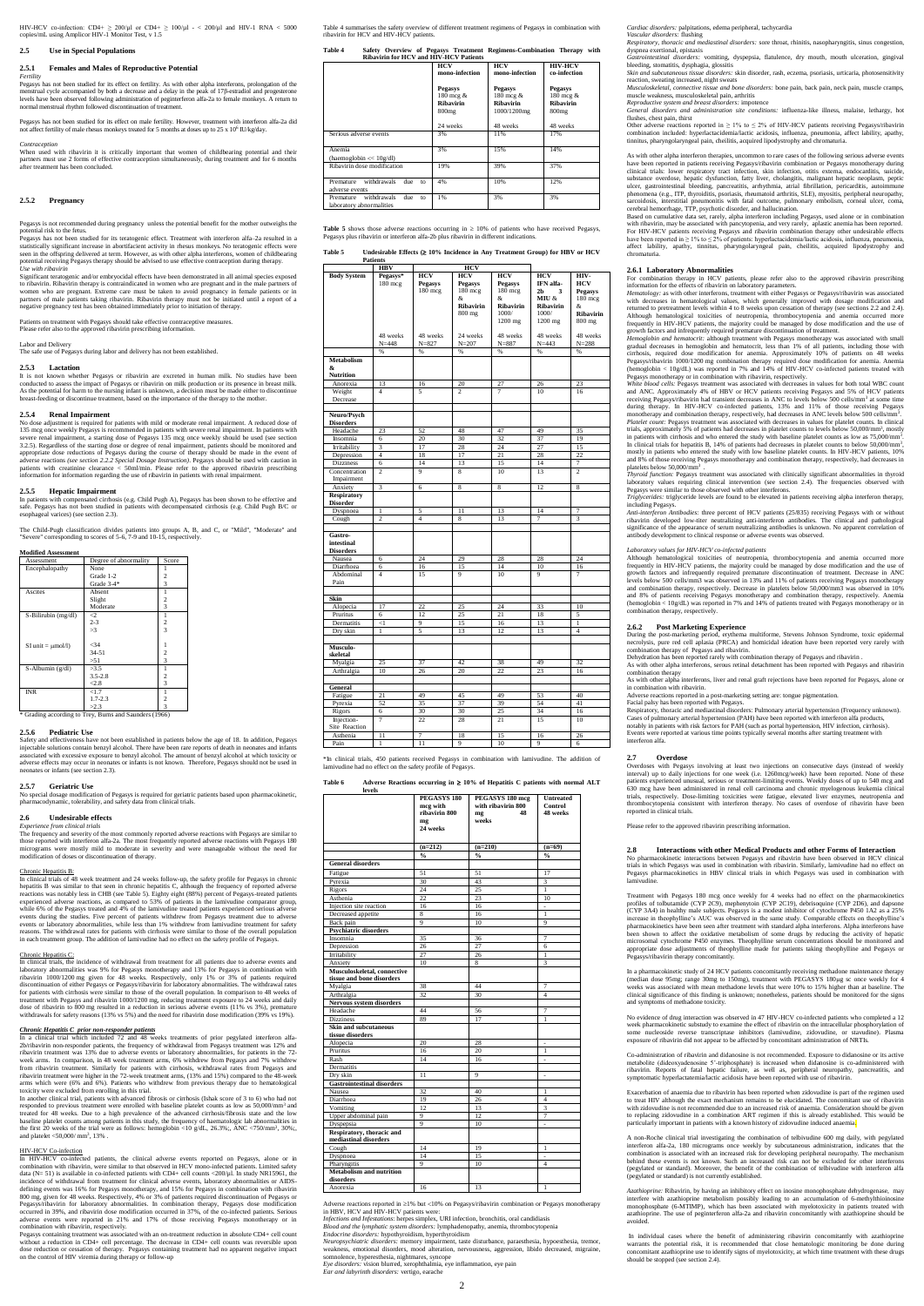HIV-HCV co-infection: CD4+ ≥ 200/µl or CD4+ ≥ 100/µl - < 200/µl and HIV-1 RNA < 5000 copies/mL using Amplicor HIV-1 Monitor Test, v 1.5

**2.5 Use in Special Populations** 

# **2.5.1 Females and Males of Reproductive Potential**

*Fertility* Pegasys has not been studied for its effect on fertility. As with other alpha interferons, prolongation of the<br>menstrual cycle accompanied by both a decrease and a delay in the peak of 17β-estradiol and progesterone<br>levels normal menstrual rhythm followed discontinuation of treatment.

When used with ribavirin it is critically important that women of childbearing potential and their partners must use 2 forms of effective contraception simultaneously, during treatment and for 6 months after treatment has been concluded.

Pegasys has not been studied for its effect on male fertility. However, treatment with interferon alfa-2a did not affect fertility of male rhesus monkeys treated for 5 months at doses up to 25 x 10<sup>6</sup> IU/kg/day.

*Contraception* 

# **2.5.2 Pregnancy**

Pegasys is not recommended during pregnancy unless the potential benefit for the mother outweighs the potential risk to the fetus.

Pegasys has not been studied for its teratogenic effect. Treatment with interferon alfa–2a resulted in a statistically significant increase in abortifacient activity in rhesus monkeys. No teratogenic effects were seen in the offspring delivered at term. However, as with other alpha interferons, women of childbearing potential receiving Pegasys therapy should be advised to use effective contraception during therapy. *Use with ribavirin*

Significant teratogenic and/or embryocidal effects have been demonstrated in all animal species exposed to ribavirin. Ribavirin therapy is contraindicated in women who are pregnant and in the male partners of women who are pregnant. Extreme care must be taken to avoid pregnancy in female patients or in partners of male patients taking ribavirin. Ribavirin therapy must not be initiated until a report of a negative pregnancy test has been obtained immediately prior to initiation of therapy.

Patients on treatment with Pegasys should take effective contraceptive measures.

Please refer also to the approved ribavirin prescribing information.

Labor and Delivery The safe use of Pegasys during labor and delivery has not been established.

#### **2.5.3 Lactation**

nd effectiveness have not been established in patients below the age of 18. In addition, Pegasys injectable solutions contain benzyl alcohol. There have been rare reports of death in neonates and infants associated with excessive exposure to benzyl alcohol. The amount of benzyl alcohol at which toxicity or associated with excessive exposure to being, according the amount of centry, according with the three effects may occur in neonates or infants is not known. Therefore, Pegasys should not be used in neonates or infants (see section 2.3).

It is not known whether Pegasys or ribavirin are excreted in human milk. No studies have been conducted to assess the impact of Pegasys or ribavirin on milk production or its presence in breast milk. As the potential for harm to the nursing infant is unknown, a decision must be made either to discontinue breast-feeding or discontinue treatment, based on the importance of the therapy to the mother.

Chronic Hepatitis B: In clinical trials of 48 week treatment and 24 weeks follow-up, the safety profile for Pegasys in chronic hepatitis B was similar to that seen in chronic hepatitis C, although the frequency of reported adverse reactions was notably less in CHB (see Table 5). Eighty eight (88%) percent of Pegasys-treated patients<br>experienced adverse reactions, as compared to 53% of patients in the lamivudine comparator group,<br>while 6% of the Pega events during the studies. Five percent of patients withdrew from Pegasys treatment due to adverse events or laboratory abnormalities, while less than 1% withdrew from lamivudine treatment for safety reasons. The withdrawal rates for patients with cirrhosis were similar to those of the overall population in each treatment group. The addition of lamivudine had no effect on the safety profile of Pegas

### **2.5.4 Renal Impairment**

No dose adjustment is required for patients with mild or moderate renal impairment. A reduced dose of 135 mcg once weekly Pegasys is recommended in patients with severe renal impairment. In patients with<br>severe renal impairment, a starting dose of Pegasys 135 mcg once weekly should be used (see section<br>3.2.5). Regardless o appropriate dose reductions of Pegasys during the course of therapy should be made in the event of<br>adverse reactions (see section 2.2.2 Special Dosage Instruction). Pegasys should be used with caution in<br>patients with crea information for information regarding the use of ribavirin in patients with renal impairment.

In clinical trials, the incidence of withdrawal from treatment for all patients due to adverse events and laboratory abnormalities was 9% for Pegasys monotherapy and 13% for Pegasys in combination with ribavirin 1000/1200 mg given for 48 weeks. Respectively, only 1% or 3% of patients required discontinuation of either Pegasys or Pegasys/ribavirin for laboratory abnormalities. The

for patients with cirrhosis were similar to those of the overall population. In comparison to 48 weeks of treatment with Pegasys and ribavirin 1000/1200 mg, reducing treatment exposure to 24 weeks and daily dose of ribavirin to 800 mg resulted in a reduction in serious adverse events (11% vs 3%), premature withdrawals for safety reasons (13% vs 5%) and the need for ribavirin dose modification (39% vs 19%).

# **2.5.5 Hepatic Impairment**

In patients with compensated cirrhosis (e.g. Child Pugh A), Pegasys has been shown to be effective and safe. Pegasys has not been studied in patients with decompensated cirrhosis (e.g. Child Pugh B/C or esophageal varices) (see section 2.3).

The Child-Pugh classification divides patients into groups A, B, and C, or "Mild", "Moderate" and "Severe" corresponding to scores of 5-6, 7-9 and 10-15, respectively.

In a clinical trial which included 72 and 48 weeks treatments of prior pegylated interferon alfa-2b/ribavirin non-responder patients, the frequency of withdrawal from Pegasys treatment was 12% and ribavirin treatment was 13% due to adverse events or laboratory abnormalities, for patients in the 72 week arms. In comparison, in 48 week treatment arms, 6% withdrew from Pegasys and 7% withdrew from ribavirin treatment. Similarly for patients with cirrhosis, withdrawal rates from Pegasys and ribavirin treatment were higher in the 72-week treatment arms, (13% and 15%) compared to the 48arms which were (6% and 6%). Patients who withdrew from previous therapy due to hematological toxicity were excluded from enrolling in this trial.

In another clinical trial, patients with advanced fibrosis or cirrhosis (Ishak score of 3 to 6) who had not responded to previous treatment were enrolled with baseline platelet counts as low as 50,000/mm<sup>3</sup> and treated for 48 weeks. Due to a high prevalence of the advanced cirrhosis/fibrosis state and the low baseline platelet counts among patients in this study, the frequency of haematologic lab abnormalities in the first 20 weeks of the trial were as follows: hemoglobin <10 g/dL, 26.3%;, ANC <750/mm<sup>3</sup>, 30%;, and platelet  $\langle 50,000/$  mm<sup>3</sup>, 13%.

#### **Modified Assessment**

| Degree of abnormality | Score          |
|-----------------------|----------------|
| None                  |                |
| Grade 1-2             | 2              |
| Grade $3-4*$          | $\overline{3}$ |
| Absent                |                |
| Slight                | 2              |
| Moderate              | 3              |
| $\triangleleft$       |                |
| $2 - 3$               | 2              |
| >3                    | $\overline{3}$ |
|                       |                |
| $34$                  |                |
| $34 - 51$             | $\overline{c}$ |
| >51                   | 3              |
| >3.5                  |                |
| $3.5 - 2.8$           | 2              |
| < 2.8                 | 3              |
| <1.7                  |                |
| $1.7 - 2.3$           | 2              |
| >2.3                  | 3              |
|                       |                |

#### **2.5.6 Pediatric Use**

Pegasys containing treatment was associated with an on-treatment reduction in absolute CD4+ cell count without a reduction in CD4+ cell percentage. The decrease in CD4+ cell counts was reversible upon<br>dose reduction or cessation of therapy. Pegasys containing treatment had no apparent negative impact<br>on the control of HIV v

#### **2.5.7 Geriatric Use**

No special dosage modification of Pegasys is required for geriatric patients based upon pharmacokinetic, pharmacodynamic, tolerability, and safety data from clinical trials.

### **2.6 Undesirable effects**

*Experience from clinical trials* The frequency and severity of the most commonly reported adverse reactions with Pegasys are similar to those reported with interferon alfa-2a. The most frequently reported adverse reactions with Pegasys 180 micrograms were mostly mild to moderate in severity and were manageable without the need for modification of doses or discontinuation of therapy.

#### Chronic Hepatitis C:

d in ≥1% but <10% on Pegasys/ribavirin combination or Pegasys monotherapy in HBV, HCV and HIV-HCV patients were:

Infections and Infestations: herpes simplex, URI infection, bronchitis, oral candidiasis<br>Blood and the lymphatic system disorders: lymphadenopathy, anemia, thrombocytopenia<br>Endocrine disorders: hypothyroidism, hyperthyroid

*Neuropsychiatric disorders:* memory impairment, taste disturbance, paraesthesia, hypoesthesia, tremor, s, emotional disorders, mood alteration, nervousness, aggression, libido decreased, migraine, olence, hyperesthesia, nightmares, syncope

#### *Chronic Hepatitis C prior non-responder patients*

# HIV-HCV Co-infection

*Hemoglobin and hematocrit:* although treatment with Pegasys monotherapy was associated with small gradual decreases in hemoglobin and hematocrit, less than 1% of all patients, including those with cirrhosis, required dose modification for anemia. Approximately 10% of patients on 48 weeks<br>Pegasys/ribavirin 1000/1200 mg combination therapy required dose modification for anemia. Anemia Pegasys/ribavirin 1000/1200 mg combination therapy required dose modification for anemia. Anemia (hemoglobin < 10g/dL) was reported in 7% and 14% of HIV-HCV co-infected patients treated with

Pegasys monotherapy or in combination with ribavirin, respectively.<br>White blood cells: Pegasys treatment was associated with decreases in values for both total WBC count<br>and ANC. Approximately 4% of HBV or HCV patients rec during therapy. In HIV-HCV co-infected patients, 13% and 11% of those receiving Pegasys monotherapy and combination therapy, respectively, had decreases in ANC levels below 500 cells/mm<sup>3</sup>. *Platelet count:* Pegasys treatment was associated with decreases in values for platelet counts. In clinical trials, approximately 5% of patients had decreases in platelet counts to levels below 50,000/mm<sup>3</sup>, mostly in patients with our patients and who entered the study with baseline platelet counts as low as 75,000/mm<sup>3</sup>, in c

mostly in patients who entered the study with low baseline platelet counts. In HIV-HCV patients, 10% and 8% of those receiving Pegasys monotherapy and combination therapy, respectively, had decreases in and 8% of those receiving Pegasys monotherapy and combination of platelets below 50,000/mm<sup>3</sup> *Thyroid function:* Pegasys treatment was associated with clinically significant abnormalities in thyroid

In HIV-HCV co-infected patients, the clinical adverse events reported on Pegasys, alone or in combination with ribavirin, were similar to that observed in HCV mono-infected patients. Limited safety data (N= 51) is available in co-infected patients with CD4+ cell counts <200/µl. In study NR15961, the incidence of withdrawal from treatment for clinical adverse events, laboratory abnormalities or AIDSdefining events was 16% for Pegasys monotherapy, and 15% for Pegasys in combination with ribavirin<br>800 mg, given for 48 weeks. Respectively, 4% or 3% of patients required discontinuation of Pegasys or<br>Pegasys/ribavirin for adverse events were reported in 21% and 17% of those receiving Pegasys monotherapy or in combination with ribavirin, respectively.

*Thyroid function:* Pegasys treatment was associated with clinically significant abnormalities in thyroid laboratory values requiring clinical intervention (see section 2.4). The frequencies observed with Pegasys were simi *Triglycerides:* triglyceride levels are found to be elevated in patients receiving alpha interferon therapy,

including Pegasys.<br>
Anti-interferon Antibodies: three percent of HCV patients (25/835) receiving Pegasys with or without<br>
ribovirin developed low-titer neutralizing anti-interferon antibodies. The clinical and pathological antibody development to clinical response or adverse events was observed.

Table 4 summarises the safety overview of different treatment regimens of Pegasys in combination with ribavirin for HCV and HIV-HCV patients.

| Table 4 |  |  |                                               | Safety Overview of Pegasys Treatment Regimens-Combination Therapy with |  |
|---------|--|--|-----------------------------------------------|------------------------------------------------------------------------|--|
|         |  |  | <b>Dihavirin for HCV and HIV-HCV Patients</b> |                                                                        |  |

During the post-marketing period, erythema multiforme, Stevens Johnson Syndrome, toxic epidermal necrolysis, pure red cell aplasia (PRCA) and homicidal ideation have been reported very rarely with combination therapy of Pegasys and ribavirin.<br>Dehydration has been reported rarely with combined

| <b>Ribavirin for HCV and HIV-HCV Patients</b>                     |                                                               |                                                         |                                                                      |
|-------------------------------------------------------------------|---------------------------------------------------------------|---------------------------------------------------------|----------------------------------------------------------------------|
|                                                                   | HCV<br>mono-infection                                         | <b>HCV</b><br>mono-infection                            | <b>HIV-HCV</b><br>co-infection                                       |
|                                                                   | <b>Pegasys</b><br>180 mcg &<br>Ribavirin<br>800 <sub>mg</sub> | <b>Pegasys</b><br>180 mcg &<br>Ribavirin<br>1000/1200mg | <b>Pegasys</b><br>180 mcg &<br><b>Ribavirin</b><br>800 <sub>mg</sub> |
|                                                                   | 24 weeks                                                      | 48 weeks                                                | 48 weeks                                                             |
| Serious adverse events                                            | 3%                                                            | 11%                                                     | 17%                                                                  |
| Anemia<br>(haemoglobin $<< 10g/dl$ )                              | 3%                                                            | 15%                                                     | 14%                                                                  |
| Ribavirin dose modification                                       | 19%                                                           | 39%                                                     | 37%                                                                  |
| withdrawals<br>Premature<br>due<br>to<br>adverse events           | 4%                                                            | 10%                                                     | 12%                                                                  |
| withdrawals<br>Premature<br>due<br>to<br>laboratory abnormalities | 1%                                                            | 3%                                                      | 3%                                                                   |

**Table 5** shows those adverse reactions occurring in  $\geq 10\%$  of patients who have received Pegasys, Pegasys plus ribavirin or interferon alfa-2b plus ribavirin in different indication

> en reported rarely with combination therapy of Pegasys and ribavirin . As with other alpha interferons, serous retinal detachment has been reported with Pegasys and ribavirin combination therapy As with other alpha interferons, liver and renal graft rejections have been reported for Pegasys, alone or

n combination with ribavirin

**Table 5 Undesirable Effects ( 10% Incidence in Any Treatment Group) for HBV or HCV** 

|                                           | <b>Patients</b>       |                                  |                                               |                                                    |                                                         |                                          |
|-------------------------------------------|-----------------------|----------------------------------|-----------------------------------------------|----------------------------------------------------|---------------------------------------------------------|------------------------------------------|
|                                           | <b>HBV</b>            |                                  | <b>HCV</b>                                    |                                                    |                                                         |                                          |
| <b>Body System</b>                        | Pegasys*<br>180 mcg   | HCV<br><b>Pegasys</b><br>180 mcg | <b>HCV</b><br><b>Pegasys</b><br>180 mcg<br>&. | $\overline{HCV}$<br><b>Pegasys</b><br>180 mcg<br>& | <b>HCV</b><br>IFN alfa-<br>2 <sub>b</sub><br>3<br>MIU & | HIV-<br><b>HCV</b><br>Pegasys<br>180 mcg |
|                                           |                       |                                  | Ribavirin<br>800 mg                           | Ribavirin<br>1000/<br>1200 mg                      | Ribavirin<br>1000/<br>1200 mg                           | &<br>Ribavirin<br>800 mg                 |
|                                           | 48 weeks<br>$N = 448$ | 48 weeks<br>$N = 827$            | 24 weeks<br>$N = 207$                         | 48 weeks<br>$N = 887$                              | 48 weeks<br>$N = 443$                                   | 48 weeks<br>$N = 288$                    |
|                                           | %                     | %                                | %                                             | %                                                  | %                                                       | %                                        |
| Metabolism<br>&                           |                       |                                  |                                               |                                                    |                                                         |                                          |
| <b>Nutrition</b>                          |                       |                                  |                                               |                                                    |                                                         |                                          |
| Anorexia                                  | 13                    | 16                               | 20                                            | 27                                                 | 26                                                      | 23                                       |
| Weight<br>Decrease                        | $\overline{4}$        | 5                                | $\overline{\phantom{a}}$                      | 7                                                  | 10                                                      | 16                                       |
| Neuro/Psych<br><b>Disorders</b>           |                       |                                  |                                               |                                                    |                                                         |                                          |
| Headache                                  | 23                    | 52                               | 48                                            | 47                                                 | 49                                                      | 35                                       |
| Insomnia                                  | 6                     | 20                               | 30                                            | 32                                                 | 37                                                      | 19                                       |
| Irritability                              | 3                     | 17                               | 28                                            | 24                                                 | 27                                                      | 15                                       |
| Depression                                | $\overline{4}$        | 18                               | 17                                            | 21                                                 | 28                                                      | 22                                       |
| <b>Dizziness</b>                          | 6                     | 14                               | 13                                            | 15                                                 | 14                                                      | $\overline{7}$                           |
| Concentration<br>Impairment               | $\overline{c}$        | 9                                | $\overline{8}$                                | 10                                                 | 13                                                      | $\overline{2}$                           |
| Anxiety                                   | $\overline{3}$        | 6                                | 8                                             | 8                                                  | 12                                                      | 8                                        |
| <b>Respiratory</b><br><b>Disorder</b>     |                       |                                  |                                               |                                                    |                                                         |                                          |
| Dyspnoea                                  | $\mathbf{1}$          | 5                                | $\overline{11}$                               | 13                                                 | 14                                                      | $\overline{7}$                           |
| Cough                                     | $\overline{c}$        | $\overline{4}$                   | 8                                             | 13                                                 | 7                                                       | 3                                        |
| Gastro-<br>intestinal<br><b>Disorders</b> |                       |                                  |                                               |                                                    |                                                         |                                          |
| Nausea                                    | 6                     | 24                               | 29                                            | 28                                                 | 28                                                      | 24                                       |
| Diarrhoea                                 | 6                     | 16                               | 15                                            | 14                                                 | 10                                                      | 16                                       |
| Abdominal<br>Pain                         | $\overline{4}$        | 15                               | 9                                             | 10                                                 | 9                                                       | $\overline{7}$                           |
| Skin                                      |                       |                                  |                                               |                                                    |                                                         |                                          |
| Alopecia                                  | 17                    | 22                               | 25                                            | 24                                                 | 33                                                      | 10                                       |
| Pruritus                                  | 6                     | 12                               | 25                                            | 21                                                 | 18                                                      | 5                                        |
| Dermatitis                                | $\leq$ 1              | 9                                | 15                                            | 16                                                 | 13                                                      | $\mathbf{1}$                             |
| Dry skin                                  | $\mathbf{1}$          | 5                                | 13                                            | 12                                                 | 13                                                      | $\overline{4}$                           |
| Musculo-<br>skeletal                      |                       |                                  |                                               |                                                    |                                                         |                                          |
| Myalgia                                   | 25                    | 37                               | 42                                            | 38                                                 | 49                                                      | 32                                       |
| Arthralgia                                | 10                    | 26                               | 20                                            | 22                                                 | 23                                                      | 16                                       |
| General                                   |                       |                                  |                                               |                                                    |                                                         |                                          |
| Fatigue                                   | $\overline{21}$       | 49                               | 45                                            | 49                                                 | 53                                                      | 40                                       |
| Pyrexia                                   | 52                    | 35                               | 37                                            | 39                                                 | 54                                                      | 41                                       |
| Rigors                                    | 6                     | 30                               | 30                                            | 25                                                 | 34                                                      | 16                                       |
| Injection-<br>Site Reaction               | 7                     | 22                               | 28                                            | 21                                                 | 15                                                      | 10                                       |
| Asthenia                                  | 11                    | 7                                | 18                                            | 15                                                 | 16                                                      | 26                                       |
| Pain                                      | $\mathbf{1}$          | 11                               | 9                                             | 10                                                 | 9                                                       | 6                                        |

No evidence of drug interaction was observed in 47 HIV-HCV co-infected patients who completed a 12 week pharmacokinetic substudy to examine the effect of ribavirin on the intracellular phosphorylation of some nucleoside reverse transcriptase inhibitors (lamivudine, zidovudine, or stavudine). Plasma exposure of ribavirin did not appear to be affected by concomitant

Co-administration of ribavirin and didanosine is not recommended. Exposure to didanosine or its active<br>metabolite (dideoxyadenosine 5'-triphosphate) is increased when didanosine is co-administered with<br>ribavirin. Reports o symptomatic hyperlactatemia/lactic acidosis have been reported with use of ribavirin.

\*In clinical trials, 450 patients received Pegasys in combination with lamivudine. The addition of lamivudine had no effect on the safety profile of Pegasys.

### **Table 6 Adverse Reactions occurring in 10% of Hepatitis C patients with normal ALT**

Exacerbation of anaemia due to ribavirin has been reported when zidovudine is part of the regimen used to treat HIV although the exact mechanism remains to be elucidated. The concomitant use of ribavirin with zidovudine is not recommended due to an increased risk of anaemia. Consideration should be given to replacing zidovudine in a combination ART regimen if this is already established. This would be particularly important in patients with a known history of zidovudine induced anaemia.

| levels                                             |                                                                       |                                                            |                                         |
|----------------------------------------------------|-----------------------------------------------------------------------|------------------------------------------------------------|-----------------------------------------|
|                                                    | PEGASYS <sub>180</sub><br>mcg with<br>ribavirin 800<br>mg<br>24 weeks | PEGASYS 180 mcg<br>with ribavirin 800<br>48<br>mg<br>weeks | <b>Untreated</b><br>Control<br>48 weeks |
|                                                    | $(n=212)$                                                             | $(n=210)$                                                  | $(n=69)$                                |
|                                                    | $\frac{0}{0}$                                                         | $\frac{0}{0}$                                              | $\frac{0}{0}$                           |
| <b>General disorders</b>                           |                                                                       |                                                            |                                         |
| Fatigue                                            | 51                                                                    | 51                                                         | 17                                      |
| Pyrexia                                            | 30                                                                    | 43                                                         | 3                                       |
| Rigors                                             | 24                                                                    | 25                                                         | 1                                       |
| Asthenia                                           | 22                                                                    | 23                                                         | 10                                      |
| Injection site reaction                            | 16                                                                    | 16                                                         | ÷                                       |
| Decreased appetite                                 | $\overline{8}$                                                        | 16                                                         | 1                                       |
| Back pain                                          | 9                                                                     | 10                                                         | $\mathbf Q$                             |
| <b>Psychiatric disorders</b>                       |                                                                       |                                                            |                                         |
| Insomnia                                           | 35                                                                    | 36                                                         | 7                                       |
| Depression                                         | 26                                                                    | 27                                                         | 6                                       |
| Irritability                                       | 27                                                                    | 26                                                         | $\mathbf{1}$                            |
| Anxiety                                            | 10                                                                    | 8                                                          | 3                                       |
| Musculoskeletal, connective                        |                                                                       |                                                            |                                         |
| tissue and bone disorders                          |                                                                       |                                                            |                                         |
| Myalgia                                            | 38                                                                    | 44                                                         | 7                                       |
| Arthralgia                                         | 32                                                                    | 30                                                         | $\overline{4}$                          |
| Nervous system disorders                           |                                                                       |                                                            |                                         |
| Headache                                           | 44                                                                    | 56                                                         | 7                                       |
| <b>Dizziness</b>                                   | 89                                                                    | 17                                                         | 1                                       |
| <b>Skin and subcutaneous</b><br>tissue disorders   |                                                                       |                                                            |                                         |
| Alopecia                                           | 20                                                                    | 28                                                         |                                         |
| Pruritus                                           | 16                                                                    | 20                                                         | 1                                       |
| Rash                                               | 14                                                                    | 16                                                         | $\overline{a}$                          |
| Dermatitis                                         |                                                                       |                                                            |                                         |
| Dry skin                                           | 11                                                                    | 9                                                          | ÷                                       |
| <b>Gastrointestinal disorders</b>                  |                                                                       |                                                            |                                         |
| Nausea                                             | 32                                                                    | 40                                                         | $\mathbf{1}$                            |
| Diarrhoea                                          | 19                                                                    | 26                                                         | $\overline{4}$                          |
| Vomiting                                           | 12                                                                    | 13                                                         | 3                                       |
| Upper abdominal pain                               | 9                                                                     | 12                                                         | 7                                       |
| Dyspepsia                                          | 9                                                                     | 10                                                         | ÷.                                      |
| Respiratory, thoracic and<br>mediastinal disorders |                                                                       |                                                            |                                         |
| Cough                                              | 14                                                                    | 19                                                         | $\mathbf{1}$                            |
| Dyspnoea                                           | 14                                                                    | 15                                                         |                                         |
| Pharyngitis                                        | $\overline{Q}$                                                        | 10                                                         | $\overline{4}$                          |
| <b>Metabolism and nutrition</b><br>disorders       |                                                                       |                                                            |                                         |
| Anorexia                                           | 16                                                                    | 13                                                         | 1                                       |
|                                                    |                                                                       |                                                            |                                         |

*Eye disorders:* vision blurred, xerophthalmia, eye inflammation, eye pain

*Ear and labyrinth disorders:* vertigo, earache

*Cardiac disorders:* palpitations, edema peripheral, tachycardia

*Vascular disorders:* flushing *Respiratory, thoracic and mediastinal disorders:* sore throat, rhinitis, nasopharyngitis, sinus congestion, dyspnea exertional, epistaxis

*Gastrointestinal disorders:* vomiting, dyspepsia, flatulence, dry mouth, mouth ulceration, gingival bleeding, stomatitis, dysphagia, glossi *Skin and subcutaneous tissue disorders:* skin disorder, rash, eczema, psoriasis, urticaria, photosensitivity

reaction, sweating increased, night sweats

*Musculoskeletal, connective tissue and bone disorders:* bone pain, back pain, neck pain, muscle cramps, muscle weakness, musculoskeletal pain, arthritis *Reproductive system and breast disorders:* impotence

*General disorders and administration site conditions:* influenza-like illness, malaise, lethargy, hot

flushes, chest pain, thirst Other adverse reactions reported in  $\geq 1\%$  to  $\leq 2\%$  of HIV-HCV patients receiving Pegasys/ribavirin combination included: hyperlactacidemia/lactic acidosis, influenza, pneumonia, affect lability, apathy, tinnitus, pharyngolaryngeal pain, cheilitis, acquired lipodystrophy and chromaturia.

As with other alpha interferon therapies, uncommon to rare cases of the following serious adverse events have been reported in patients receiving Pegasys/ribavirin combination or Pegasys monotherapy during clinical trials: lower respiratory tract infection, skin infection, otitis externa, endocarditis, suicide, substance overdose, hepatic dysfunction, fatty liver, cholangitis, malignant hepatic neoplasm, peptic ulcer, gastrointestinal bleeding, pancreatitis, arrhythmia, atrial fibrillation, pericarditis, autoimmune<br>phenomena (e.g., ITP, thyroiditis, psoriasis, rheumatoid arthritis, SLE), myositis, peripheral neuropathy,<br>sarcoidos cerebral hemorrhage, TTP, psychotic disorder, and hallucination.

Based on cumulative data set, rarely, alpha interferon including Pegasys, used alone or in combination with ribavirin, may be associated with pancytopenia, and very rarely, aplastic anemia has been reported. For HIV-HCV patients receiving Pegasys and ribavirin combination therapy other undesirable effects have been reported in ≥ 1% to ≤ 2% of patients: hyperlactacidemia/lactic acidosis, influenza, pneumonia, affect lability, apathy, tinnitus, pharyngolaryngeal pain, cheilitis, acquired lipodystrophy and chromaturia.

# **2.6.1 Laboratory Abnormalities**

For combination therapy in HCV patients, please refer also to the approved ribavirin prescribing<br>information for the effects of ribavirin on laboratory parameters.<br>*Hematology:* as with other interferons, treatment with ei

with decreases in hematological values, which generally improved with dosage modification and returned to pretreatment levels within 4 to 8 weeks upon cessation of therapy (see sections 2.2 and 2.4).<br>Although hematological toxicities of neutropenia, thrombocytopenia and anemia occurred more<br>frequently in HIV-HCV pa growth factors and infrequently required premature discontinuation of treatment.

# *Laboratory values for HIV-HCV co-infected patients*

Although hematological toxicities of neutropenia, thrombocytopenia and anemia occurred more frequently in HIV-HCV patients, the majority could be managed by dose modification and the use of growth factors and infrequently required premature discontinuation of treatment. Decrease in ANC levels below 500 cells/mm3 was observed in 13% and 11% of patients receiving Pegasys monotherapy<br>and combination therapy, respectively. Decrease in platelets below 50,000/mm3 was observed in 10%<br>and 8% of patients receivin combination therapy, respectively.

## **2.6.2 Post Marketing Experience**

Adverse reactions reported in a post-marketing setting are: tongue pigmentation.

Facial palsy has been reported with Pegasys. Respiratory, thoracic and mediastinal disorders: Pulmonary arterial hypertension (Frequency unknown). Cases of pulmonary arterial hypertension (PAH) have been reported with interferon alfa products, notably in patients with risk factors for PAH (such as portal hypertension, HIV infection, cirrhosis). Events were reported at various time points typically several months after starting treatment with

interferon alfa.

**2.7 Overdose** with Pegasys involving at least two injections on consecutive days (instead of weekly interval) up to daily injections for one week (i.e. 1260mcg/week) have been reported. None of these patients experienced unusual, serious or treatment-limiting events. Weekly doses of up to 540 mcg and 630 mcg have been administered in renal cell carcinoma and chronic myelogenous leukemia clinical<br>trials, respectively. Dose-limiting toxicities were fatigue, elevated liver enzymes, neutropenia<br>thrombocytopenia consistent reported in clinical trials.

Please refer to the approved ribavirin prescribing information.

# **2.8 Interactions with other Medical Products and other Forms of Interaction**

No pharmacokinetic interactions between Pegasys and ribavirin have been observed in HCV clinical trials in which Pegasys was used in combination with ribavirin. Similarly, lamivudine had no effect on Pegasys pharmacokinetics in HBV clinical trials in which Pegasys was used in combination with lamivudine.

Treatment with Pegasys 180 mcg once weekly for 4 weeks had no effect on the pharmacokinetics profiles of tolbutamide (CYP 2C9), mephenytoin (CYP 2C19), debrisoquine (CYP 2D6), and dapsone (CYP 3A4) in healthy male subjects. Pegasys is a modest inhibitor of cytochrome P450 1A2 as a 25% increase in theophylline's AUC was observed in the same study. Comparable effects on theophylline's pharmacokinetics have been seen after treatment with standard alpha interferons. Alpha interferons have been shown to affect the oxidative metabolism of some drugs by reducing the activity of hepatic microsomal cytochrome P450 enzymes. Theophylline serum concentrations should be monitored and appropriate dose adjustments of theophylline made for patients taking theophylline and Pegasys or Pegasys/ribavirin therapy concomitantly.

In a pharmacokinetic study of 24 HCV patients concomitantly receiving methadone maintenance therapy (median dose 95mg; range 30mg to 150mg), treatment with PEGASYS 180µg sc once weekly for sociated with mean methadone levels that were 10% to 15% higher than at clinical significance of this finding is unknown; nonetheless, patients should be monitored for the signs and symptoms of methadone toxicity.

A non-Roche clinical trial investigating the combination of telbivudine 600 mg daily, with pegylated interferon alfa-2a, 180 micrograms once weekly by subcutaneous administration, indicates that the combination is associated with an increased risk for developing peripheral neuropathy. The mechanism behind these events is not known. Such an increased risk can not be excluded for other interferons (pegylated or standard). Moreover, the benefit of the combination of telbivudine with interferon alfa (pegylated or standard) is not currently established.

*Azathioprine:* Ribavirin, by having an inhibitory effect on inosine monophosphate dehydrogenase, may interfere with azathioprine metabolism possibly leading to an accumulation of 6-methylthioinosine monophosphate (6-MTIMP), which has been associated with myelotoxicity in patients treated with azathioprine. The use of peginterferon alfa-2a and ribavirin concomitantly with azathioprine should be avoided.

In individual cases where the benefit of administering ribavirin concomitantly with azathioprine warrants the potential risk, it is recommended that close hematologic monitoring be done during concomitant azathioprine use to identify signs of myelotoxicity, at which time treatment with these drugs should be stopped (see section 2.4).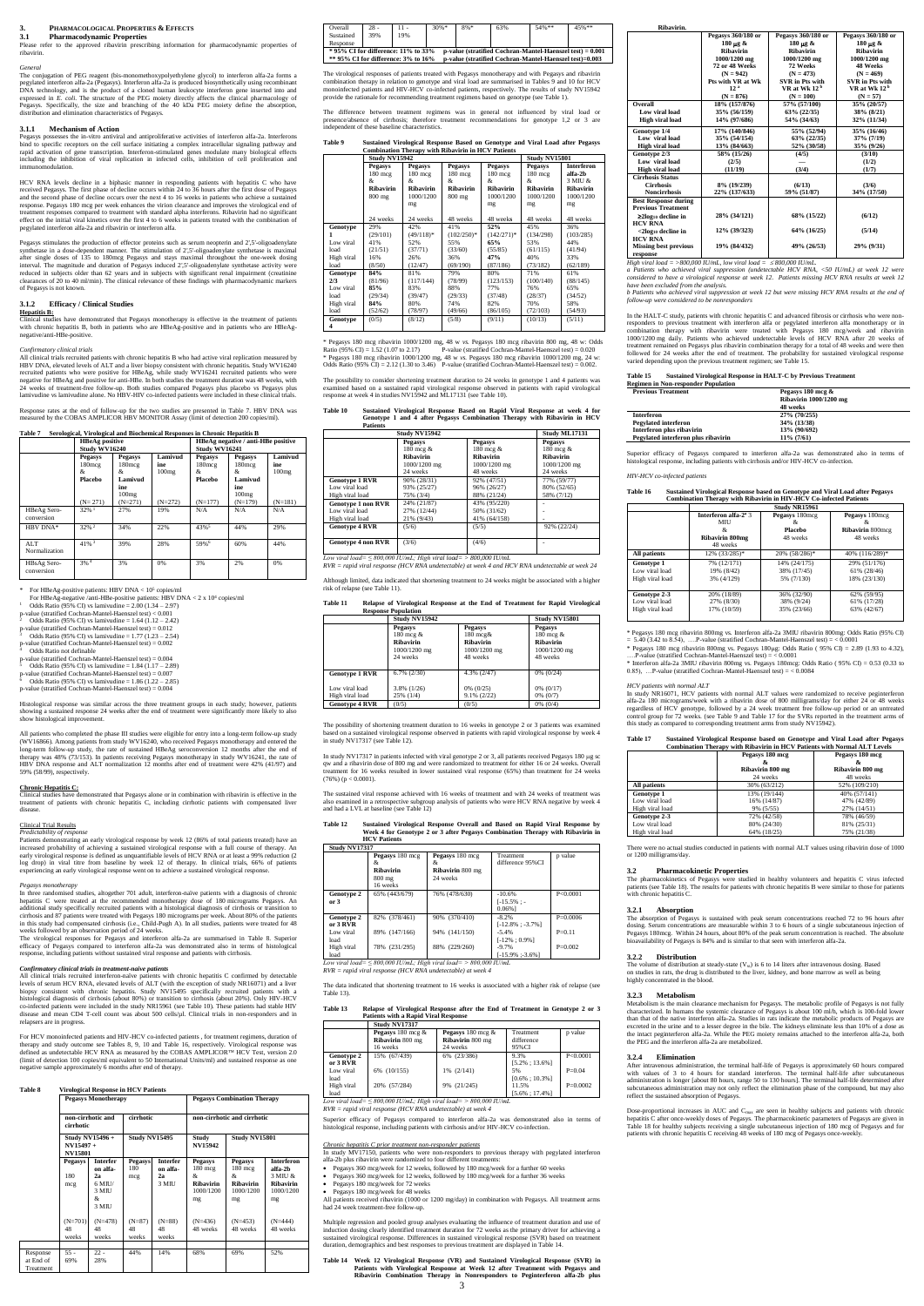### **3. PHARMACOLOGICAL PROPERTIES & EFFECTS**

**3.1 Pharmacodynamic Properties**<br>Please refer to the approved ribavirin prescriprescribing information for pharmacodynamic properties of ribavirin.

#### *General*

Pegasys possesses the in-vitro antiviral and antiproliferative activities of interferon alfa-2a. Interferons bind to specific receptors on the cell surface initiating a complex intracellular signaling pathway and rapid activation of gene transcription. Interferon-stimulated genes modulate many biological effects including the inhibition of viral replication in infected cells, inhibition of cell proliferation and odulation.

The conjugation of PEG reagent (bis-monomethoxypolyethylene glycol) to interferon alfa-2a forms a pegylated interferon alfa-2a (Pegasys). Interferon alfa-2a is produced biosynthetically using recombinant DNA technology, and is the product of a cloned human leukocyte interferon gene inserted into and expressed in *E. coli*. The structure of the PEG moiety directly affects the clinical pharmacology of Pegasys. Specifically, the size and branching of the 40 kDa PEG moiety define the absorption, distribution and elimination characteristics of Pegasys.

## **3.1.1 Mechanism of Action**

HCV RNA levels decline in a biphasic manner in responding patients with hepatitis C who have<br>received Pegasys. The first phase of decline occurs within 24 to 36 hours after the first dose of Pegasys<br>and the second phase of response. Pegasys 180 mcg per week enhances the virion clearance and improves the virological end of treatment responses compared to treatment with standard alpha interferons. Ribavirin had no significant  $\frac{1}{10}$  to treatment with standard alpha interferons. Ribavirin had no significant effect on the initial viral kinetics over the first 4 to 6 weeks in patients treated with the combination of pegylated interferon alfa-2a and ribavirin or interferon alfa.

Pegasys stimulates the production of effector proteins such as serum neopterin and 2',5'-oligoadenylate<br>synthetase in a dose-dependent manner. The stimulation of 2',5'-oligoadenylate synthetase is maximal<br>after single dose interval. The magnitude and duration of Pegasys induced 2',5'-oligoadenylate synthetase activity were reduced in subjects older than 62 years and in subjects with significant renal impairment (creatinine clearances of 20 to 40 ml/min). The clinical relevance of these findings with pharmacodynamic markers of Pegasys is not known.

All clinical trials recruited patients with chronic hepatitis B who had active viral replication measured by<br>HBV DNA, elevated levels of ALT and a liver biopsy consistent with chronic hepatitis. Study WV16240<br>recruited pat negative for HBeAg and positive for anti-HBe. In both studies the treatment duration was 48 weeks, with weeks of treatment-free follow-up. Both studies compared Pegasys plus placebo vs Pegasys plus lamivudine vs lamivudine alone. No HBV-HIV co-infected patients were included in these clinical trials.

#### **3.1.2 Efficacy / Clinical Studies**

**Hepatitis B:** Clinical studies have demonstrated that Pegasys monotherapy is effective in the treatment of patients with chronic hepatitis B, both in patients who are HBeAg-positive and in patients who are HBeAgnegative/anti-HBe-positive.

#### *Confirmatory clinical trials*

*Predictability of response* Patients demonstrating an early virological response by week 12 (86% of total patients treated) have an increased probability of achieving a sustained virological response with a full course of therapy. An<br>early virological response is defined as unquantifiable levels of HCV RNA or at least a 99% reduction (2<br>log drop) in vi experiencing an early virological response went on to achieve a sustained virological response.

Response rates at the end of follow-up for the two studies are presented in Table 7. HBV DNA was measured by the COBAS AMPLICOR HBV MONITOR Assay (limit of detection 200 copies/ml).

biopsy consistent with chronic hepatitis. Study NV15495 specifically recruited patients with a histological diagnosis of cirrhosis (about 80%) or transition to cirrhosis (about 20%). Only HIV-HCV co-infected patients were included in the study NR15961 (see Table 10). These patients had stable HIV disease and mean CD4 T-cell count was about 500 cells/µl. Clinical trials in non-responders and in relapsers are in progress.

|                           | <b>HBeAg</b> positive<br><b>Study WV16240</b>                    |                                                                          |                                      | HBeAg negative / anti-HBe positive<br>Study WV16241       |                                                                           |                                      |
|---------------------------|------------------------------------------------------------------|--------------------------------------------------------------------------|--------------------------------------|-----------------------------------------------------------|---------------------------------------------------------------------------|--------------------------------------|
|                           | <b>Pegasys</b><br>$180$ mcg<br>&.<br><b>Placebo</b><br>$(N=271)$ | <b>Pegasys</b><br>$180$ mcg<br>&<br>Lamivud<br>ine<br>100mg<br>$(N=271)$ | Lamivud<br>ine<br>100mg<br>$(N=272)$ | <b>Pegasys</b><br>$180$ mcg<br>&.<br>Placebo<br>$(N=177)$ | <b>Pegasys</b><br>$180$ mcg<br>&.<br>Lamivud<br>ine<br>100mg<br>$(N=179)$ | Lamivud<br>ine<br>100mg<br>$(N=181)$ |
| HBeAg Sero-<br>conversion | $32\%$ <sup>1</sup>                                              | 27%                                                                      | 19%                                  | N/A                                                       | N/A                                                                       | N/A                                  |
| HBV DNA*                  | $32\%$ <sup>2</sup>                                              | 34%                                                                      | 22%                                  | $43\%$ <sup>5</sup>                                       | 44%                                                                       | 29%                                  |
| ALT.<br>Normalization     | $41\%$ <sup>3</sup>                                              | 39%                                                                      | 28%                                  | 59%6                                                      | 60%                                                                       | 44%                                  |
| HBsAg Sero-<br>conversion | 3%4                                                              | 3%                                                                       | 0%                                   | 3%                                                        | 2%                                                                        | 0%                                   |

For HBeAg-positive patients: HBV DNA < 10<sup>5</sup> copies/ml<br>For HBeAg-negative /anti-HBe-positive patients: HBV DNA < 2 x 10<sup>4</sup> copies/ml<br>1 Odds Ratio (95% CI) vs lamivudine = 2.00 (1.34 – 2.97)<br>p-value (stratified Cochran-Mant

- <sup>2</sup> Odds Ratio (95% CI) vs lamivudine = 1.64 (1.12 2.42)<br>p-value (stratified Cochran-Mantel-Haenszel test) = 0.012<br><sup>3</sup> Odds Ratio (95% CI) vs lamivudine = 1.77 (1.23 2.54)
- p-value (stratified Cochran-Mantel-Haenszel test) =  $0.002$
- Odds Ratio not definable
- $p$ -value (stratified Cochran-Mantel-Haenszel test) =  $0.004$
- Odds Ratio (95% CI) vs lamivudine  $= 1.84$  (1.17 2.89)
- 

p-value (stratified Cochran-Mantel-Haenszel test) = 0.007 <sup>6</sup> Odds Ratio (95% CI) vs lamivudine = 1.86 (1.22 – 2.85)

p-value (stratified Cochran-Mantel-Haenszel test) = 0.004

Histological response was similar across the three treatment groups in each study; however, patients showing a sustained response 24 weeks after the end of treatment were significantly more likely to also show histological improvement.

All patients who completed the phase III studies were eligible for entry into a long-term follow-up study (WV16866). Among patients from study WV16240, who received Pegasys monotherapy and entered the long-term follow-up study, the rate of sustained HBeAg seroconversion 12 months after the end of therapy was 48% (73/153). In p 59% (58/99), respectively.

\* Pegasys 180 mcg ribavirin 1000/1200 mg, 48 w *vs.* Pegasys 180 mcg ribavirin 800 mg, 48 w: Odds Ratio (95% CI) = 1.52 (1.07 to 2.17) P-value (stratified Cochran-Mantel-Haenszel test) = 0.020<br>\* Pegasys 180 meg ribavirin 1000/1200 mg, 48 w vs. Pegasys 180 mcg ribavirin 1000/1200 mg, 24 w:<br>Odds Ratio (95% CI) = 2.12 (1.

#### **Chronic Hepatitis C:**

Clinical studies have demonstrated that Pegasys alone or in combination with ribavirin is effective in the treatment of patients with chronic hepatitis C, including cirrhotic patients with compensated liver disease.

# Clinical Trial Results

The possibility to consider shortening treatment duration to 24 weeks in genotype 1 and 4 patients was examined based on a sustained rapid virological response observed in patients with rapid virological response at week 4 in studies NV15942 and ML17131 (see Table 10).

#### *Pegasys monotherapy*

at  ${\cal E}$ 

In three randomised studies, altogether 701 adult, interferon-naïve patients with a diagnosis of chronic hepatitis C were treated at the recommended monotherapy dose of 180 micrograms Pegasys. An additional study specifically recruited patients with a histological diagnosis of cirrhosis or transition to cirrhosis and 87 patients were treated with Pegasys 180 micrograms per week. About 80% of the patients in this study had compensated cirrhosis (i.e., Child-Pugh A). In all studies, patients were treated for 48 weeks followed by an observation period of 24 weeks. In study NV17317 in patients infected with viral genotype 2 or 3, all patients received Pegasys 180 µg sc qw and a ribavirin dose of 800 mg and were randomized to treatment for either 16 or 24 weeks. Overall qw and a ribavirin dose of 800 mg and were random treatment for 16 weeks resulted in lower sustained viral response (65%) than treatment for 24 weeks

The virological responses for Pegasys and interferon alfa-2a are summarised in Table 8. Superior efficacy of Pegasys compared to interferon alfa-2a was demonstrated also in terms of histological response, including patients without sustained viral response and patients with cirrhosis.

#### *Confirmatory clinical trials in treatment-naive patients*

All clinical trials recruited interferon-naïve patients with chronic hepatitis C confirmed by detectable levels of serum HCV RNA, elevated levels of ALT (with the exception of study NR16071) and a liver

Superior efficacy of Pegasys compared to interferon alfa-2a was demonstrated also in terms of histological response, including patients with cirrhosis and/or HIV-HCV co-infection.

All patients received ribavirin (1000 or 1200 mg/day) in combination with Pegasys. All treatment arms had 24 week treatment-free follow-up.

For HCV monoinfected patients and HIV-HCV co-infected patients , for treatment regimens, duration of therapy and study outcome see Tables 8, 9, 10 and Table 16, respectively. Virological response was defined as undetectable HCV RNA as measured by the COBAS AMPLICOR™ HCV Test, version 2.0 (limit of detection 100 copies/ml equivalent to 50 International Units/ml) and sustained response as one negative sample approximately 6 months after end of therapy.

#### **Table 8 Virological Response in HCV Patients**

|                                    | <b>Pegasys Monotherapy</b>                                                            |                                                                      |                                   |                                            | <b>Pegasys Combination Therapy</b>                                               |                                                                  |                                                                                |  |
|------------------------------------|---------------------------------------------------------------------------------------|----------------------------------------------------------------------|-----------------------------------|--------------------------------------------|----------------------------------------------------------------------------------|------------------------------------------------------------------|--------------------------------------------------------------------------------|--|
|                                    | non-cirrhotic and<br>cirrhotic<br><b>Study NV15496+</b><br>NV15497+<br><b>NV15801</b> |                                                                      | cirrhotic<br><b>Study NV15495</b> |                                            | non-cirrhotic and cirrhotic                                                      |                                                                  |                                                                                |  |
|                                    |                                                                                       |                                                                      |                                   |                                            | Study<br><b>NV15942</b>                                                          | <b>Study NV15801</b>                                             |                                                                                |  |
|                                    | Pegasys<br>180<br>mcg                                                                 | <b>Interfer</b><br>on alfa-<br>2a<br>$6$ MIU/<br>3 MIU<br>&<br>3 MIU | <b>Pegasys</b><br>180<br>mcg      | <b>Interfer</b><br>on alfa-<br>2a<br>3 MIU | <b>Pegasys</b><br>$180 \text{ mcg}$<br>&.<br><b>Ribavirin</b><br>1000/1200<br>mg | <b>Pegasys</b><br>$180$ mcg<br>&<br>Ribavirin<br>1000/1200<br>mg | <b>Interferon</b><br>alfa-2h<br>3 MIU &<br><b>Ribavirin</b><br>1000/1200<br>mg |  |
|                                    | $(N=701)$<br>48<br>weeks                                                              | $(N=478)$<br>48<br>weeks                                             | $(N=87)$<br>48<br>weeks           | $(N=88)$<br>48<br>weeks                    | $(N=436)$<br>48 weeks                                                            | $(N=453)$<br>48 weeks                                            | $(N=444)$<br>48 weeks                                                          |  |
| Response<br>at End of<br>Treatment | $55 -$<br>69%                                                                         | $22 -$<br>28%                                                        | 44%                               | 14%                                        | 68%                                                                              | 69%                                                              | 52%                                                                            |  |

Table 13)

| Overall                                                                                              | $28 -$ | 11 - | $30%$ * | $8%$ * | 63%                                                            | $54%$ ** | 45%** |
|------------------------------------------------------------------------------------------------------|--------|------|---------|--------|----------------------------------------------------------------|----------|-------|
| Sustained                                                                                            | 39%    | 19%  |         |        |                                                                |          |       |
| Response                                                                                             |        |      |         |        |                                                                |          |       |
| $*$ 95% CI for difference: 11% to 33%                                                                |        |      |         |        | $p$ -value (stratified Cochran-Mantel-Haenszel test) = $0.001$ |          |       |
| ** 95% CI for difference: $3\%$ to $16\%$<br>p-value (stratified Cochran-Mantel-Haenszel test)=0.003 |        |      |         |        |                                                                |          |       |

In the HALT-C study, patients with chronic hepatitis C and advanced fibrosis or cirrhosis who were nonresponders to previous treatment with interferon alfa or pegylated interferon alfa monotherapy or in<br>combination therapy with ribavirin were treated with Pegasys 180 mcg/week and ribavirin<br>1000/1200 mg daily. Patients who treatment remained on Pegasys plus ribavirin combination therapy for a total of 48 weeks and were then followed for 24 weeks after the end of treatment. The probability for sustained virological response varied depending upon the previous treatment regimen; see Table 15.

The virological responses of patients treated with Pegasys monotherapy and with Pegasys and ribavirin combination therapy in relation to genotype and viral load are summarised in Tables 9 and 10 for HCV monoinfected patients and HIV-HCV co-infected patients, respectively. The results of study NV15942 provide the rationale for recommending treatment regimens based on genotype (see Table 1).

> Superior efficacy of Pegasys compared to interferon alfa-2a was demonstrated also in terms of blogical response, including patients with cirrhosis and/or HIV-HCV co-infection.

The difference between treatment regimens was in general not influenced by viral load or presence/absence of cirrhosis; therefore treatment recommendations for genotype 1,2 or 3 are independent of these baseline characteristics.

# **Table 9 Sustained Virological Response Based on Genotype and Viral Load after Pegasys Combination Therapy with Ribavirin in HCV Patients Study NV15942 Study NV15801**

\* Pegasys 180 mcg ribavirin 800mg vs. Interferon alfa-2a 3MIU ribavirin 800mg: Odds Ratio (95% CI)  $= 5.40$  (3.42 to 8.54), ….P-value (stratified Cochran-Mantel-Haenszel test)  $= < 0.0001$ 

\* Pegasys 180 mcg ribavirin 800mg vs. Pegasys 180µg: Odds Ratio ( $95\%$  CI) = 2.89 (1.93 to 4.32), ….P-value (stratified Cochran-Mantel-Haenszel test) = < 0.0001

In study NR16071, HCV patients with normal ALT values were randomized to receive peginterferon alfa-2a 180 micrograms/week with a ribavirin dose of 800 milligrams/day for either 24 or 48 weeks regardless of HCV genotype, followed by a 24 week treatment free follow-up period or an untreated<br>control group for 72 weeks. (see Table 9 and Table 17 for the SVRs reported in the treatment arms of<br>this study as compared

|            | Study NV 15942    |                   |                |                   | Study NV15801     |                   |
|------------|-------------------|-------------------|----------------|-------------------|-------------------|-------------------|
|            | Pegasys           | <b>Pegasys</b>    | <b>Pegasys</b> | <b>Pegasys</b>    | Pegasys           | <b>Interferon</b> |
|            | $180 \text{ mcg}$ | $180 \text{ mcg}$ | $180$ mcg      | $180 \text{ mcg}$ | $180 \text{ mcg}$ | alfa-2b           |
|            | &                 | &                 | &              | &                 | &                 | 3 MIU &           |
|            | Ribavirin         | <b>Ribavirin</b>  | Ribavirin      | <b>Ribavirin</b>  | <b>Ribavirin</b>  | Ribavirin         |
|            | $800$ mg          | 1000/1200         | 800 mg         | 1000/1200         | 1000/1200         | 1000/1200         |
|            |                   | mg                |                | mg                | mg                | mg                |
|            |                   |                   |                |                   |                   |                   |
|            | 24 weeks          | 24 weeks          | 48 weeks       | 48 weeks          | 48 weeks          | 48 weeks          |
| Genotype   | 29%               | 42%               | 41%            | 52%               | 45%               | 36%               |
|            | (29/101)          | $(49/118)*$       | $(102/250)*$   | $(142/271)*$      | (134/298)         | (103/285)         |
| Low viral  | 41%               | 52%               | 55%            | 65%               | 53%               | 44%               |
| load       | (21/51)           | (37/71)           | (33/60)        | (55/85)           | (61/115)          | (41/94)           |
| High viral | 16%               | 26%               | 36%            | 47%               | 40%               | 33%               |
| load       | (8/50)            | (12/47)           | (69/190)       | (87/186)          | (73/182)          | (62/189)          |
| Genotype   | 84%               | 81%               | 79%            | 80%               | 71%               | 61%               |
| 2/3        | (81/96)           | (117/144)         | (78/99)        | (123/153)         | (100/140)         | (88/145)          |
| Low viral  | 85%               | 83%               | 88%            | 77%               | 76%               | 65%               |
| load       | (29/34)           | (39/47)           | (29/33)        | (37/48)           | (28/37)           | (34/52)           |
| High viral | 84%               | 80%               | 74%            | 82%               | 70%               | 58%               |
| load       | (52/62)           | (78/97)           | (49/66)        | (86/105)          | (72/103)          | (54/93)           |
| Genotype   | (0/5)             | (8/12)            | (5/8)          | (9/11)            | (10/13)           | (5/11)            |
| 4          |                   |                   |                |                   |                   |                   |

The pharmacokinetics of Pegasys were studied in healthy volunteers and hepatitis C virus infected patients (see Table 18). The results for patients with chronic hepatitis B were similar to those for patients with chronic hepatitis C.

sm is the main clearance mechanism for Pegasys. The metabolic profile of Pegasys is not fully characterized. In humans the systemic clearance of Pegasys is about 100 ml/h, which is 100-fold lower<br>than that of the native interferon alfa-2a. Studies in rats indicate the metabolic products of Pegasys are<br>excreted in t the PEG and the interferon alfa-2a are metabolized.

After intravenous administration, the terminal half-life of Pegasys is approximately 60 hours compared with values of 3 to 4 hours for standard interferon. The terminal half-life after subcutaneous administration is longer [about 80 hours, range 50 to 130 hours]. The terminal half-life determined after<br>subcutaneous administration may not only reflect the elimination phase of the compound, but may also<br>reflect the sus

# **Table 10 Sustained Virological Response Based on Rapid Viral Response at week 4 for Genotype 1 and 4 after Pegasys Combination Therapy with Ribavirin in HCV**

Dose-proportional increases in AUC and C<sub>max</sub> are seen in healthy subjects and patients with chronic<br>hepatitis C after once-weekly doses of Pegasys. The pharmacokinetic parameters of Pegasys are given in<br>Table 18 for healt patients with chronic hepatitis C receiving 48 weeks of 180 mcg of Pegasys once-weekly.

| <b>Patients</b>           |                       |                  |                  |
|---------------------------|-----------------------|------------------|------------------|
|                           | <b>Study NV15942</b>  |                  | Study ML17131    |
|                           | <b>Pegasys</b>        | <b>Pegasys</b>   | <b>Pegasys</b>   |
|                           | $180 \text{ mcg } \&$ | 180 mcg &        | 180 mcg &        |
|                           | <b>Ribavirin</b>      | <b>Ribavirin</b> | <b>Ribavirin</b> |
|                           | 1000/1200 mg          | 1000/1200 mg     | 1000/1200 mg     |
|                           | 24 weeks              | 48 weeks         | 24 weeks         |
| <b>Genotype 1 RVR</b>     | 90% (28/31)           | 92% (47/51)      | 77% (59/77)      |
| Low viral load            | 93% (25/27)           | 96% (26/27)      | 80% (52/65)      |
| High viral load           | 75% (3/4)             | 88% (21/24)      | 58% (7/12)       |
| <b>Genotype 1 non RVR</b> | 24% (21/87)           | 43% (95/220)     |                  |
| Low viral load            | 27% (12/44)           | 50% (31/62)      |                  |
| High viral load           | 21% (9/43)            | 41% (64/158)     |                  |
| <b>Genotype 4 RVR</b>     | (5/6)                 | (5/5)            | 92% (22/24)      |
|                           |                       |                  |                  |
| <b>Genotype 4 non RVR</b> | (3/6)                 | (4/6)            |                  |
|                           |                       |                  |                  |

*Low viral load= ≤ 800,000 IU/mL; High viral load= > 800,000 IU/mL RVR = rapid viral response (HCV RNA undetectable) at week 4 and HCV RNA undetectable at week 24*

Although limited, data indicated that shortening treatment to 24 weeks might be associated with a higher risk of relapse (see Table 11).

# **Table 11 Relapse of Virological Response at the End of Treatment for Rapid Virological**

|                       | <b>Response Population</b>                                                     |                                                                                |                                                                             |
|-----------------------|--------------------------------------------------------------------------------|--------------------------------------------------------------------------------|-----------------------------------------------------------------------------|
|                       | <b>Study NV15942</b>                                                           |                                                                                | <b>Study NV15801</b>                                                        |
|                       | <b>Pegasys</b><br>180 mcg $\&$<br><b>Ribavirin</b><br>1000/1200 mg<br>24 weeks | <b>Pegasys</b><br>$180 \text{ mcg\&}$<br>Ribavirin<br>1000/1200 mg<br>48 weeks | <b>Pegasys</b><br>180 mcg &<br><b>Ribavirin</b><br>1000/1200 mg<br>48 weeks |
| <b>Genotype 1 RVR</b> | $6.7\%$ $(2/30)$                                                               | 4.3% (2/47)                                                                    | $0\%$ (0/24)                                                                |
| Low viral load        | $3.8\%$ (1/26)                                                                 | $0\%$ (0/25)                                                                   | $0\%$ (0/17)                                                                |
| High viral load       | 25% (1/4)                                                                      | $9.1\% (2/22)$                                                                 | $0\%$ $(0/7)$                                                               |
| <b>Genotype 4 RVR</b> | (0/5)                                                                          | (0/5)                                                                          | $0\%$ (0/4)                                                                 |

The possibility of shortening treatment duration to 16 weeks in genotype 2 or 3 patients was examined

based on a sustained virological response observed in patients with rapid virological response by week 4 in study NV17317 (see Table 12).

 $(76\%) (p < 0.0001)$ 

The sustained viral response achieved with 16 weeks of treatment and with 24 weeks of treatment was

also examined in a retrospective subgroup analysis of patients who were HCV RNA negative by week 4 and had a LVL at baseline (see Table 12)

# **Table 12 Sustained Virological Response Overall and Based on Rapid Viral Response by Week 4 for Genotype 2 or 3 after Pegasys Combination Therapy with Ribavirin in HCV Patients**

|                                                                        | <b>Study NV17317</b>                                              |                                                              |                                          |             |  |
|------------------------------------------------------------------------|-------------------------------------------------------------------|--------------------------------------------------------------|------------------------------------------|-------------|--|
|                                                                        | Pegasys 180 mcg<br>&.<br><b>Ribavirin</b><br>$800$ mg<br>16 weeks | Pegasys 180 mcg<br>&.<br><b>Ribavirin</b> 800 mg<br>24 weeks | Treatment<br>difference 95% CI           | p value     |  |
| Genotype 2<br>or 3                                                     | 65% (443/679)                                                     | 76% (478/630)                                                | $-10.6%$<br>$[-15.5\%$ : -<br>$0.06\%$ ] | P < 0.0001  |  |
| Genotype 2<br>or 3 RVR                                                 | 82% (378/461)                                                     | 90% (370/410)                                                | $-8.2%$<br>$[-12.8\%:-3.7\%]$            | $P=0.0006$  |  |
| Low viral<br>load                                                      | 89% (147/166)                                                     | 94% (141/150)                                                | $-5.4%$<br>$[-12\%:0.9\%]$               | $P = 0.11$  |  |
| High viral<br>load                                                     | 78% (231/295)                                                     | 88% (229/260)                                                | $-9.7%$<br>$[-15.9\% : 3.6\%]$           | $P = 0.002$ |  |
| Low viral load= $\leq$ 800,000 IU/mL; High viral load= > 800,000 IU/mL |                                                                   |                                                              |                                          |             |  |
| RVR = rapid viral response (HCV RNA undetectable) at week 4            |                                                                   |                                                              |                                          |             |  |

| aina maamaantta 16 maala is aasaajamal mith a hiskan ajale af nala |  |  |  |  |
|--------------------------------------------------------------------|--|--|--|--|

#### **Table 13 Relapse of Virological Response after the End of Treatment in Genotype 2 or 3 Patients with a Rapid Viral Response**

|            | Study NV17317     |                      |                    |            |
|------------|-------------------|----------------------|--------------------|------------|
|            | Pegasys 180 mcg & | Pegasys 180 mcg $\&$ | Treatment          | p value    |
|            | Ribavirin 800 mg  | Ribavirin 800 mg     | difference         |            |
|            | 16 weeks          | 24 weeks             | 95% CI             |            |
| Genotype 2 | 15% (67/439)      | 6% (23/386)          | 9.3%               | P < 0.0001 |
| or 3 RVR   |                   |                      | $[5.2\% : 13.6\%]$ |            |
| Low viral  | 6% (10/155)       | 1% (2/141)           | 5%                 | $P=0.04$   |
| load       |                   |                      | $[0.6\% : 10.3\%]$ |            |
| High viral | 20% (57/284)      | 9% (21/245)          | 11.5%              | $P=0.0002$ |
| load       |                   |                      | $[5.6\% : 17.4\%]$ |            |

load *Low viral load= ≤ 800,000 IU/mL; High viral load= > 800,000 IU/mL RVR = rapid viral response (HCV RNA undetectable) at week 4*

#### *Chronic hepatitis C prior treatment non-responder patients*

In study MV17150, patients who were non-responders to previous therapy with pegylated interferon alfa-2b plus ribavirin were randomized to four different treatments:

- Pegasys 360 mcg/week for 12 weeks, followed by 180 mcg/week for a further 60 weeks
- Pegasys 360 mcg/week for 12 weeks, followed by 180 mcg/week for a further 36 weeks
- Pegasys 180 mcg/week for 72 weeks
- Pegasys 180 mcg/week for 48 weeks

Multiple regression and pooled group analyses evaluating the influence of treatment duration and use of induction dosing clearly identified treatment duration for 72 weeks as the primary driver for achieving a induction dosing clearly identified treatment duration for 72 weeks as the primary driver for achieving a sustained virological response. Differences in sustained virological response (SVR) based on treatment duration, demographics and best responses to previous treatment are displayed in Table 14.

**Table 14 Week 12 Virological Response (VR) and Sustained Virological Response (SVR) in Patients with Virological Response at Week 12 after Treatment with Pegasys and Ribavirin Combination Therapy in Nonresponders to Peginterferon alfa-2b plus** 

| Ribavirin.                   |                    |                          |                          |
|------------------------------|--------------------|--------------------------|--------------------------|
|                              | Pegasys 360/180 or | Pegasys 360/180 or       | Pegasys 360/180 or       |
|                              | 180 µg &           | 180 µg &                 | 180 µg &                 |
|                              | Ribavirin          | <b>Ribavirin</b>         | Ribavirin                |
|                              | 1000/1200 mg       | 1000/1200 mg             | 1000/1200 mg             |
|                              | 72 or 48 Weeks     | 72 Weeks                 | <b>48 Weeks</b>          |
|                              | $(N = 942)$        | $(N = 473)$              | $(N = 469)$              |
|                              | Pts with VR at Wk  | <b>SVR</b> in Pts with   | <b>SVR</b> in Pts with   |
|                              | 12 <sup>a</sup>    | VR at Wk 12 <sup>b</sup> | VR at Wk 12 <sup>b</sup> |
|                              | $(N = 876)$        | $(N = 100)$              | $(N = 57)$               |
| Overall                      | 18% (157/876)      | 57% (57/100)             | 35% (20/57)              |
| Low viral load               | 35% (56/159)       | 63% (22/35)              | 38% (8/21)               |
| <b>High viral load</b>       | 14% (97/686)       | 54% (34/63)              | 32% (11/34)              |
| Genotype 1/4                 | 17% (140/846)      | 55% (52/94)              | 35% (16/46)              |
| Low viral load               | 35% (54/154)       | $63\% (22/35)$           | 37% (7/19)               |
| High viral load              | 13% (84/663)       | 52% (30/58)              | 35% (9/26)               |
| Genotype 2/3                 | 58% (15/26)        | (4/5)                    | (3/10)                   |
| Low viral load               | (2/5)              |                          | (1/2)                    |
| High viral load              | (11/19)            | (3/4)                    | (1/7)                    |
| <b>Cirrhosis Status</b>      |                    |                          |                          |
| <b>Cirrhosis</b>             | 8% (19/239)        | (6/13)                   | (3/6)                    |
| <b>Noncirrhosis</b>          | 22% (137/633)      | 59% (51/87)              | 34% (17/50)              |
| <b>Best Response during</b>  |                    |                          |                          |
| <b>Previous Treatment</b>    |                    |                          |                          |
| $\geq 2\log_{10}$ decline in | 28% (34/121)       | 68% (15/22)              | (6/12)                   |
| <b>HCV RNA</b>               |                    |                          |                          |
| $<$ 2 $log_{10}$ decline in  | 12% (39/323)       | 64% (16/25)              | (5/14)                   |
| <b>HCV RNA</b>               |                    |                          |                          |
| <b>Missing best previous</b> | 19% (84/432)       | 49% (26/53)              | 29% (9/31)               |
|                              |                    |                          |                          |

**response** *High viral load = >800,000 IU/mL, low viral load = 800,000 IU/mL. a Patients who achieved viral suppression (undetectable HCV RNA, <50 IU/mL) at week 12 were considered to have a virological response at week 12. Patients missing HCV RNA results at week 12* 

*have been excluded from the analysis. b Patients who achieved viral suppression at week 12 but were missing HCV RNA results at the end of follow-up were considered to be nonresponders*

#### **Table 15 Sustained Virological Response in HALT-C by Previous Treatment Regimen in Non-responder Population**

| $\sim$                              |                        |  |  |
|-------------------------------------|------------------------|--|--|
| <b>Previous Treatment</b>           | Pegasys 180 mcg &      |  |  |
|                                     | Ribavirin 1000/1200 mg |  |  |
|                                     | 48 weeks               |  |  |
| <b>Interferon</b>                   | 27% (70/255)           |  |  |
| <b>Pegylated interferon</b>         | 34% (13/38)            |  |  |
| Interferon plus ribavirin           | 13% (90/692)           |  |  |
| Pegylated interferon plus ribavirin | $11\% (7/61)$          |  |  |

#### *HIV-HCV co-infected patients*

# **Table 16 Sustained Virological Response based on Genotype and Viral Load after Pegasys Combination Therapy with Ribavirin in HIV-HCV Co-infected Patients**

|                                                        |                                                                                     | Study NR15961                               |                                                      |  |
|--------------------------------------------------------|-------------------------------------------------------------------------------------|---------------------------------------------|------------------------------------------------------|--|
|                                                        | Interferon alfa-2 <sup>a</sup> 3<br><b>MIU</b><br>&.<br>Ribavirin 800mg<br>48 weeks | Pegasys 180mcg<br>&.<br>Placebo<br>48 weeks | Pegasys 180mcg<br>X.<br>Ribavirin 800mcg<br>48 weeks |  |
| All patients                                           | 12% (33/285)*                                                                       | 20% (58/286)*                               | 40% (116/289)*                                       |  |
| <b>Genotype 1</b><br>Low viral load<br>High viral load | 7% (12/171)<br>19% (8/42)<br>3% (4/129)                                             | 14% (24/175)<br>38% (17/45)<br>5% (7/130)   | 29% (51/176)<br>61% (28/46)<br>18% (23/130)          |  |
| Genotype 2-3<br>Low viral load<br>High viral load      | 20% (18/89)<br>27% (8/30)<br>17% (10/59)                                            | 36% (32/90)<br>38% (9/24)<br>35% (23/66)    | 62% (59/95)<br>61% (17/28)<br>63% (42/67)            |  |

\* Interferon alfa-2a 3MIU ribavirin 800mg vs. Pegasys 180mcg: Odds Ratio ( 95% CI) = 0.53 (0.33 to 0.85), …P-value (stratified Cochran-Mantel-Haenszel test) = < 0.0084

### *HCV patients with normal ALT*

### **Table 17 Sustained Virological Response based on Genotype and Viral Load after Pegasys Combination Therapy with Ribavirin in HCV Patients with Normal ALT Levels**

|                   | Pegasys 180 mcg  | Pegasys 180 mcg  |
|-------------------|------------------|------------------|
|                   |                  | &                |
|                   | Ribavirin 800 mg | Ribavirin 800 mg |
|                   | 24 weeks         | 48 weeks         |
| All patients      | 30% (63/212)     | 52% (109/210)    |
| <b>Genotype 1</b> | 13% (19/144)     | 40% (57/141)     |
| Low viral load    | 16% (14/87)      | 47% (42/89)      |
| High viral load   | 9% (5/55)        | 27% (14/51)      |
| Genotype 2-3      | 72% (42/58)      | 78% (46/59)      |
| Low viral load    | 80% (24/30)      | 81% (25/31)      |
| High viral load   | 64% (18/25)      | 75% (21/38)      |

There were no actual studies conducted in patients with normal ALT values using ribavirin dose of 1000 or 1200 milligrams/day.

# **3.2 Pharmacokinetic Properties**

# **3.2.1 Absorption**

The absorption of Pegasys is sustained with peak serum concentrations reached 72 to 96 hours after dosing. Serum concentrations are measurable within 3 to 6 hours of a single subcutaneous injection of Pegasys 180mcg. Within 24 hours, about 80% of the peak serum concentration is reached. The absolute bioavailability of Pegasys is 84% and is similar to that seen with interferon alfa-2a.

# **3.2.2 Distribution**

The volume of distribution at steady-state  $(V_{ss})$  is 6 to 14 liters after intravenous dosing. Based on studies in rats, the drug is distributed to the liver, kidney, and bone marrow as well as being highly concentrated in the blood.

### **3.2.3 Metabolism**

# **3.2.4 Elimination**